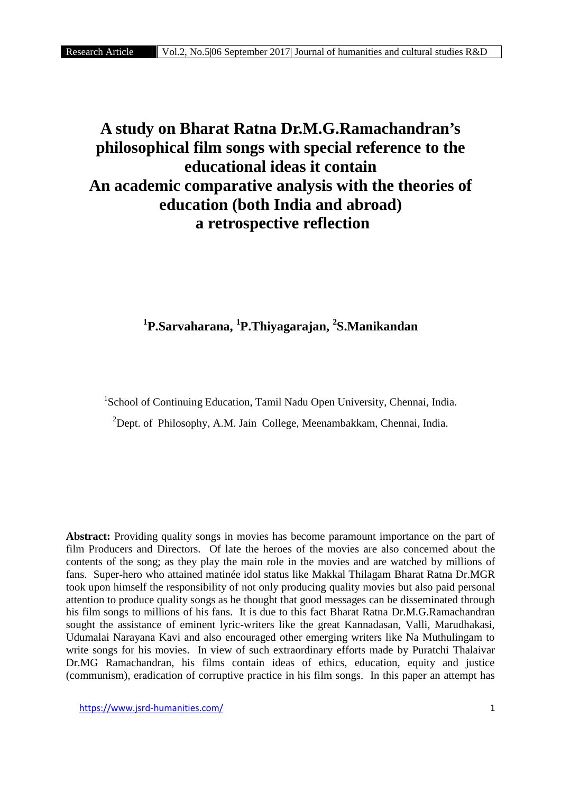# **A study on Bharat Ratna Dr.M.G.Ramachandran's philosophical film songs with special reference to the educational ideas it contain An academic comparative analysis with the theories of education (both India and abroad) a retrospective reflection**

## **<sup>1</sup>P.Sarvaharana, <sup>1</sup>P.Thiyagarajan, <sup>2</sup>S.Manikandan**

<sup>1</sup>School of Continuing Education, Tamil Nadu Open University, Chennai, India.

<sup>2</sup>Dept. of Philosophy, A.M. Jain College, Meenambakkam, Chennai, India.

**Abstract:** Providing quality songs in movies has become paramount importance on the part of film Producers and Directors. Of late the heroes of the movies are also concerned about the contents of the song; as they play the main role in the movies and are watched by millions of fans. Super-hero who attained matinée idol status like Makkal Thilagam Bharat Ratna Dr.MGR took upon himself the responsibility of not only producing quality movies but also paid personal attention to produce quality songs as he thought that good messages can be disseminated through his film songs to millions of his fans. It is due to this fact Bharat Ratna Dr.M.G.Ramachandran sought the assistance of eminent lyric-writers like the great Kannadasan, Valli, Marudhakasi, Udumalai Narayana Kavi and also encouraged other emerging writers like Na Muthulingam to write songs for his movies. In view of such extraordinary efforts made by Puratchi Thalaivar Dr.MG Ramachandran, his films contain ideas of ethics, education, equity and justice (communism), eradication of corruptive practice in his film songs. In this paper an attempt has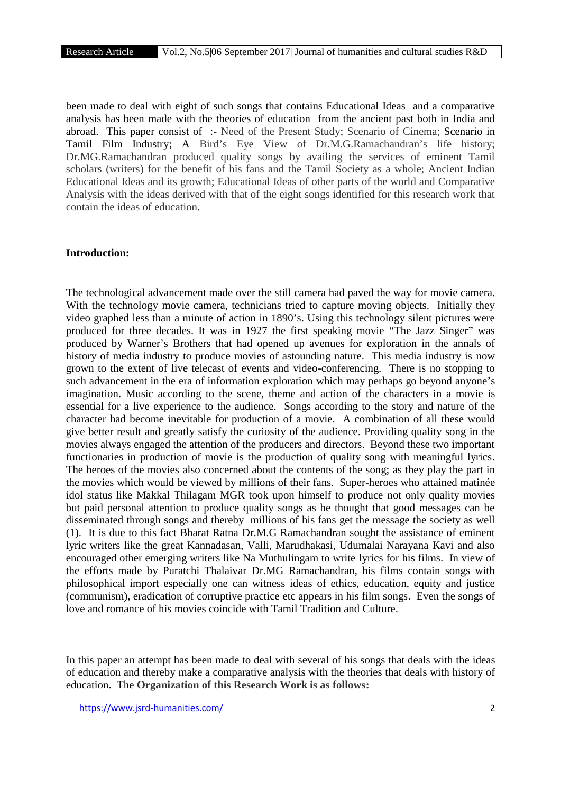been made to deal with eight of such songs that contains Educational Ideas and a comparative analysis has been made with the theories of education from the ancient past both in India and abroad. This paper consist of :- Need of the Present Study; Scenario of Cinema; Scenario in Tamil Film Industry; A Bird's Eye View of Dr.M.G.Ramachandran's life history; Dr.MG.Ramachandran produced quality songs by availing the services of eminent Tamil scholars (writers) for the benefit of his fans and the Tamil Society as a whole; Ancient Indian Educational Ideas and its growth; Educational Ideas of other parts of the world and Comparative Analysis with the ideas derived with that of the eight songs identified for this research work that contain the ideas of education.

### **Introduction:**

The technological advancement made over the still camera had paved the way for movie camera. With the technology movie camera, technicians tried to capture moving objects. Initially they video graphed less than a minute of action in 1890's. Using this technology silent pictures were produced for three decades. It was in 1927 the first speaking movie "The Jazz Singer" was produced by Warner's Brothers that had opened up avenues for exploration in the annals of history of media industry to produce movies of astounding nature. This media industry is now grown to the extent of live telecast of events and video-conferencing. There is no stopping to such advancement in the era of information exploration which may perhaps go beyond anyone's imagination. Music according to the scene, theme and action of the characters in a movie is essential for a live experience to the audience. Songs according to the story and nature of the character had become inevitable for production of a movie. A combination of all these would give better result and greatly satisfy the curiosity of the audience. Providing quality song in the movies always engaged the attention of the producers and directors. Beyond these two important functionaries in production of movie is the production of quality song with meaningful lyrics. The heroes of the movies also concerned about the contents of the song; as they play the part in the movies which would be viewed by millions of their fans. Super-heroes who attained matinée idol status like Makkal Thilagam MGR took upon himself to produce not only quality movies but paid personal attention to produce quality songs as he thought that good messages can be disseminated through songs and thereby millions of his fans get the message the society as well (1). It is due to this fact Bharat Ratna Dr.M.G Ramachandran sought the assistance of eminent lyric writers like the great Kannadasan, Valli, Marudhakasi, Udumalai Narayana Kavi and also encouraged other emerging writers like Na Muthulingam to write lyrics for his films. In view of the efforts made by Puratchi Thalaivar Dr.MG Ramachandran, his films contain songs with philosophical import especially one can witness ideas of ethics, education, equity and justice (communism), eradication of corruptive practice etc appears in his film songs. Even the songs of love and romance of his movies coincide with Tamil Tradition and Culture.

In this paper an attempt has been made to deal with several of his songs that deals with the ideas of education and thereby make a comparative analysis with the theories that deals with history of education. The **Organization of this Research Work is as follows:**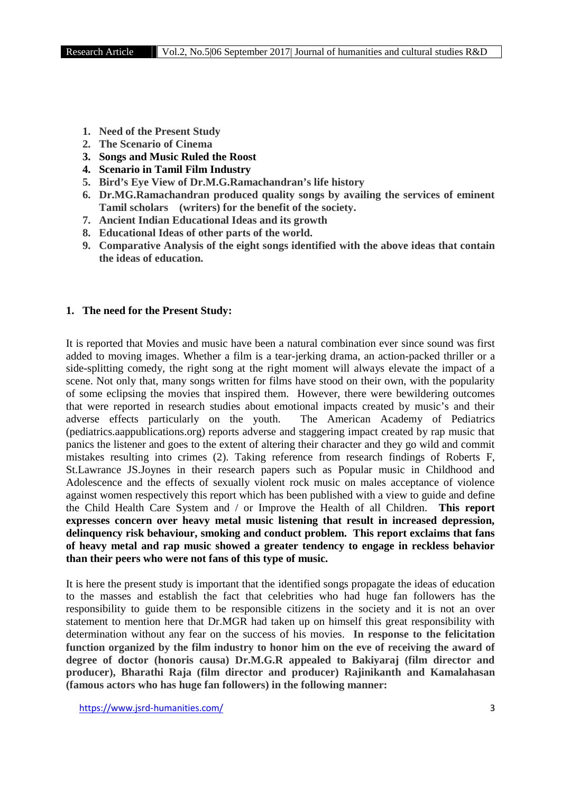- **1. Need of the Present Study**
- **2. The Scenario of Cinema**
- **3. Songs and Music Ruled the Roost**
- **4. Scenario in Tamil Film Industry**
- **5. Bird's Eye View of Dr.M.G.Ramachandran's life history**
- **6. Dr.MG.Ramachandran produced quality songs by availing the services of eminent Tamil scholars (writers) for the benefit of the society.**
- **7. Ancient Indian Educational Ideas and its growth**
- **8. Educational Ideas of other parts of the world.**
- **9. Comparative Analysis of the eight songs identified with the above ideas that contain the ideas of education.**

### **1. The need for the Present Study:**

It is reported that Movies and music have been a natural combination ever since sound was first added to moving images. Whether a film is a tear-jerking drama, an action-packed thriller or a side-splitting comedy, the right song at the right moment will always elevate the impact of a scene. Not only that, many songs written for films have stood on their own, with the popularity of some eclipsing the movies that inspired them. However, there were bewildering outcomes that were reported in research studies about emotional impacts created by music's and their adverse effects particularly on the youth. The American Academy of Pediatrics (pediatrics.aappublications.org) reports adverse and staggering impact created by rap music that panics the listener and goes to the extent of altering their character and they go wild and commit mistakes resulting into crimes (2). Taking reference from research findings of Roberts F, St.Lawrance JS.Joynes in their research papers such as Popular music in Childhood and Adolescence and the effects of sexually violent rock music on males acceptance of violence against women respectively this report which has been published with a view to guide and define the Child Health Care System and / or Improve the Health of all Children. **This report expresses concern over heavy metal music listening that result in increased depression, delinquency risk behaviour, smoking and conduct problem. This report exclaims that fans of heavy metal and rap music showed a greater tendency to engage in reckless behavior than their peers who were not fans of this type of music.**

It is here the present study is important that the identified songs propagate the ideas of education to the masses and establish the fact that celebrities who had huge fan followers has the responsibility to guide them to be responsible citizens in the society and it is not an over statement to mention here that Dr.MGR had taken up on himself this great responsibility with determination without any fear on the success of his movies. **In response to the felicitation function organized by the film industry to honor him on the eve of receiving the award of degree of doctor (honoris causa) Dr.M.G.R appealed to Bakiyaraj (film director and producer), Bharathi Raja (film director and producer) Rajinikanth and Kamalahasan (famous actors who has huge fan followers) in the following manner:**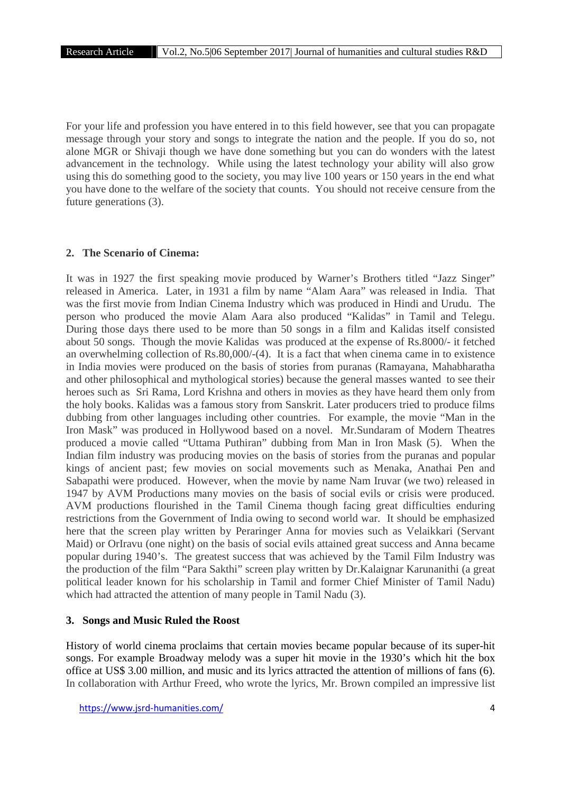For your life and profession you have entered in to this field however, see that you can propagate message through your story and songs to integrate the nation and the people. If you do so, not alone MGR or Shivaji though we have done something but you can do wonders with the latest advancement in the technology. While using the latest technology your ability will also grow using this do something good to the society, you may live 100 years or 150 years in the end what you have done to the welfare of the society that counts. You should not receive censure from the future generations (3).

### **2. The Scenario of Cinema:**

It was in 1927 the first speaking movie produced by Warner's Brothers titled "Jazz Singer" released in America. Later, in 1931 a film by name "Alam Aara" was released in India. That was the first movie from Indian Cinema Industry which was produced in Hindi and Urudu. The person who produced the movie Alam Aara also produced "Kalidas" in Tamil and Telegu. During those days there used to be more than 50 songs in a film and Kalidas itself consisted about 50 songs. Though the movie Kalidas was produced at the expense of Rs.8000/- it fetched an overwhelming collection of Rs.80,000/-(4). It is a fact that when cinema came in to existence in India movies were produced on the basis of stories from puranas (Ramayana, Mahabharatha and other philosophical and mythological stories) because the general masses wanted to see their heroes such as Sri Rama, Lord Krishna and others in movies as they have heard them only from the holy books. Kalidas was a famous story from Sanskrit. Later producers tried to produce films dubbing from other languages including other countries. For example, the movie "Man in the Iron Mask" was produced in Hollywood based on a novel. Mr.Sundaram of Modern Theatres produced a movie called "Uttama Puthiran" dubbing from Man in Iron Mask (5). When the Indian film industry was producing movies on the basis of stories from the puranas and popular kings of ancient past; few movies on social movements such as Menaka, Anathai Pen and Sabapathi were produced. However, when the movie by name Nam Iruvar (we two) released in 1947 by AVM Productions many movies on the basis of social evils or crisis were produced. AVM productions flourished in the Tamil Cinema though facing great difficulties enduring restrictions from the Government of India owing to second world war. It should be emphasized here that the screen play written by Peraringer Anna for movies such as Velaikkari (Servant Maid) or OrIravu (one night) on the basis of social evils attained great success and Anna became popular during 1940's. The greatest success that was achieved by the Tamil Film Industry was the production of the film "Para Sakthi" screen play written by Dr.Kalaignar Karunanithi (a great political leader known for his scholarship in Tamil and former Chief Minister of Tamil Nadu) which had attracted the attention of many people in Tamil Nadu (3).

#### **3. Songs and Music Ruled the Roost**

History of world cinema proclaims that certain movies became popular because of its super-hit songs. For example Broadway melody was a super hit movie in the 1930's which hit the box office at US\$ 3.00 million, and music and its lyrics attracted the attention of millions of fans (6). In collaboration with Arthur Freed, who wrote the lyrics, Mr. Brown compiled an impressive list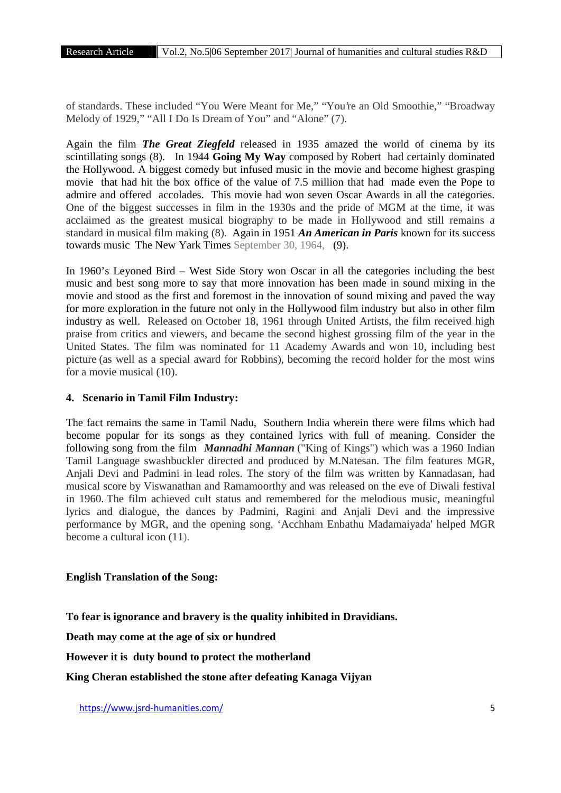of standards. These included "You Were Meant for Me," "You're an Old Smoothie," "Broadway Melody of 1929," "All I Do Is Dream of You" and "Alone" (7).

Again the film *The Great Ziegfeld* released in 1935 amazed the world of cinema by its scintillating songs (8). In 1944 **Going My Way** composed by Robert had certainly dominated the Hollywood. A biggest comedy but infused music in the movie and become highest grasping movie that had hit the box office of the value of 7.5 million that had made even the Pope to admire and offered accolades. This movie had won seven Oscar Awards in all the categories. One of the biggest successes in film in the 1930s and the pride of MGM at the time, it was acclaimed as the greatest musical biography to be made in Hollywood and still remains a standard in musical film making (8). Again in 1951 *An American in Paris* known for its success towards music The New Yark Times September 30, 1964, (9).

In 1960's Leyoned Bird – West Side Story won Oscar in all the categories including the best music and best song more to say that more innovation has been made in sound mixing in the movie and stood as the first and foremost in the innovation of sound mixing and paved the way for more exploration in the future not only in the Hollywood film industry but also in other film industry as well. Released on October 18, 1961 through United Artists, the film received high praise from critics and viewers, and became the second highest grossing film of the year in the United States. The film was nominated for 11 Academy Awards and won 10, including best picture (as well as a special award for Robbins), becoming the record holder for the most wins for a movie musical (10).

### **4. Scenario in Tamil Film Industry:**

The fact remains the same in Tamil Nadu, Southern India wherein there were films which had become popular for its songs as they contained lyrics with full of meaning. Consider the following song from the film *Mannadhi Mannan* ("King of Kings") which was a 1960 Indian Tamil Language swashbuckler directed and produced by M.Natesan. The film features MGR, Anjali Devi and Padmini in lead roles. The story of the film was written by Kannadasan, had musical score by Viswanathan and Ramamoorthy and was released on the eve of Diwali festival in 1960. The film achieved cult status and remembered for the melodious music, meaningful lyrics and dialogue, the dances by Padmini, Ragini and Anjali Devi and the impressive performance by MGR, and the opening song, 'Acchham Enbathu Madamaiyada' helped MGR become a cultural icon (11).

#### **English Translation of the Song:**

**To fear is ignorance and bravery is the quality inhibited in Dravidians.**

**Death may come at the age of six or hundred**

**However it is duty bound to protect the motherland**

**King Cheran established the stone after defeating Kanaga Vijyan**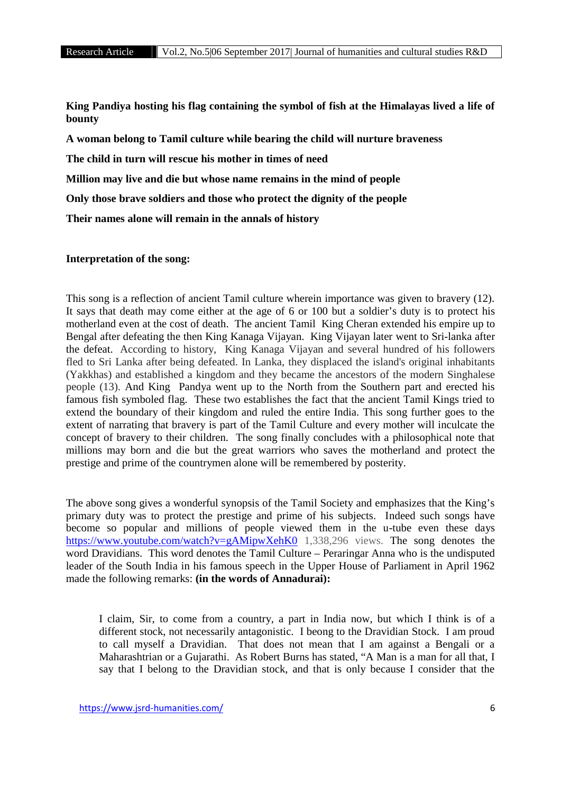**King Pandiya hosting his flag containing the symbol of fish at the Himalayas lived a life of bounty**

**A woman belong to Tamil culture while bearing the child will nurture braveness**

**The child in turn will rescue his mother in times of need**

**Million may live and die but whose name remains in the mind of people**

**Only those brave soldiers and those who protect the dignity of the people**

**Their names alone will remain in the annals of history**

### **Interpretation of the song:**

This song is a reflection of ancient Tamil culture wherein importance was given to bravery (12). It says that death may come either at the age of 6 or 100 but a soldier's duty is to protect his motherland even at the cost of death. The ancient Tamil King Cheran extended his empire up to Bengal after defeating the then King Kanaga Vijayan. King Vijayan later went to Sri-lanka after the defeat. According to history, King Kanaga Vijayan and several hundred of his followers fled to Sri Lanka after being defeated. In Lanka, they displaced the island's original inhabitants (Yakkhas) and established a kingdom and they became the ancestors of the modern Singhalese people (13). And King Pandya went up to the North from the Southern part and erected his famous fish symboled flag. These two establishes the fact that the ancient Tamil Kings tried to extend the boundary of their kingdom and ruled the entire India. This song further goes to the extent of narrating that bravery is part of the Tamil Culture and every mother will inculcate the concept of bravery to their children. The song finally concludes with a philosophical note that millions may born and die but the great warriors who saves the motherland and protect the prestige and prime of the countrymen alone will be remembered by posterity.

The above song gives a wonderful synopsis of the Tamil Society and emphasizes that the King's primary duty was to protect the prestige and prime of his subjects. Indeed such songs have become so popular and millions of people viewed them in the u-tube even these days https://www.youtube.com/watch?v=gAMipwXehK0 1,338,296 views. The song denotes the word Dravidians. This word denotes the Tamil Culture – Peraringar Anna who is the undisputed leader of the South India in his famous speech in the Upper House of Parliament in April 1962 made the following remarks: **(in the words of Annadurai):**

I claim, Sir, to come from a country, a part in India now, but which I think is of a different stock, not necessarily antagonistic. I beong to the Dravidian Stock. I am proud to call myself a Dravidian. That does not mean that I am against a Bengali or a Maharashtrian or a Gujarathi. As Robert Burns has stated, "A Man is a man for all that, I say that I belong to the Dravidian stock, and that is only because I consider that the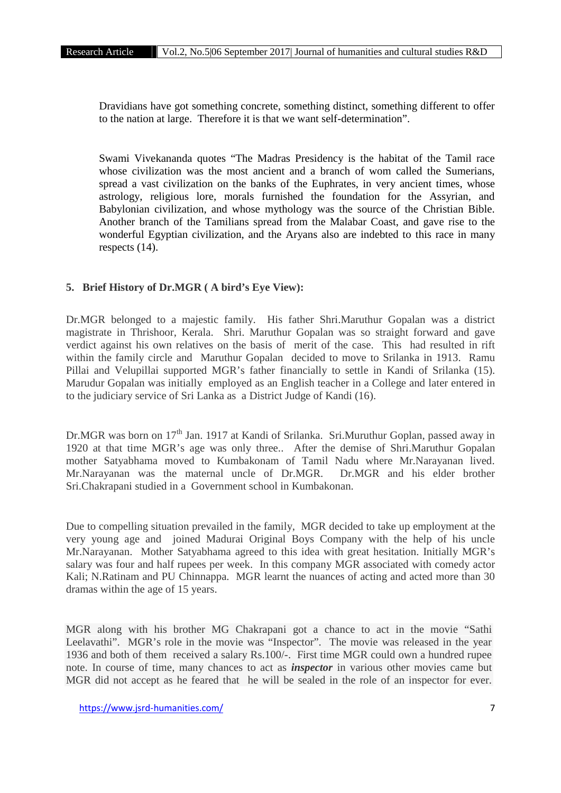Dravidians have got something concrete, something distinct, something different to offer to the nation at large. Therefore it is that we want self-determination".

Swami Vivekananda quotes "The Madras Presidency is the habitat of the Tamil race whose civilization was the most ancient and a branch of wom called the Sumerians, spread a vast civilization on the banks of the Euphrates, in very ancient times, whose astrology, religious lore, morals furnished the foundation for the Assyrian, and Babylonian civilization, and whose mythology was the source of the Christian Bible. Another branch of the Tamilians spread from the Malabar Coast, and gave rise to the wonderful Egyptian civilization, and the Aryans also are indebted to this race in many respects (14).

### **5. Brief History of Dr.MGR ( A bird's Eye View):**

Dr.MGR belonged to a majestic family. His father Shri.Maruthur Gopalan was a district magistrate in Thrishoor, Kerala. Shri. Maruthur Gopalan was so straight forward and gave verdict against his own relatives on the basis of merit of the case. This had resulted in rift within the family circle and Maruthur Gopalan decided to move to Srilanka in 1913. Ramu Pillai and Velupillai supported MGR's father financially to settle in Kandi of Srilanka (15). Marudur Gopalan was initially employed as an English teacher in a College and later entered in to the judiciary service of Sri Lanka as a District Judge of Kandi (16).

Dr.MGR was born on 17<sup>th</sup> Jan. 1917 at Kandi of Srilanka. Sri.Muruthur Goplan, passed away in 1920 at that time MGR's age was only three.. After the demise of Shri.Maruthur Gopalan mother Satyabhama moved to Kumbakonam of Tamil Nadu where Mr.Narayanan lived. Mr.Narayanan was the maternal uncle of Dr.MGR. Dr.MGR and his elder brother Sri.Chakrapani studied in a Government school in Kumbakonan.

Due to compelling situation prevailed in the family, MGR decided to take up employment at the very young age and joined Madurai Original Boys Company with the help of his uncle Mr.Narayanan. Mother Satyabhama agreed to this idea with great hesitation. Initially MGR's salary was four and half rupees per week. In this company MGR associated with comedy actor Kali; N.Ratinam and PU Chinnappa. MGR learnt the nuances of acting and acted more than 30 dramas within the age of 15 years.

MGR along with his brother MG Chakrapani got a chance to act in the movie "Sathi Leelavathi". MGR's role in the movie was "Inspector". The movie was released in the year 1936 and both of them received a salary Rs.100/-. First time MGR could own a hundred rupee note. In course of time, many chances to act as *inspector* in various other movies came but MGR did not accept as he feared that he will be sealed in the role of an inspector for ever.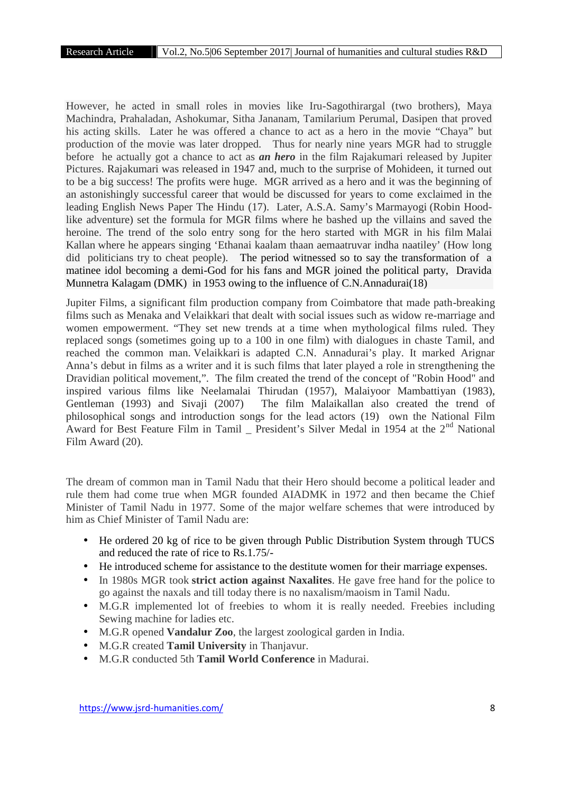However, he acted in small roles in movies like Iru-Sagothirargal (two brothers), Maya Machindra, Prahaladan, Ashokumar, Sitha Jananam, Tamilarium Perumal, Dasipen that proved his acting skills. Later he was offered a chance to act as a hero in the movie "Chaya" but production of the movie was later dropped. Thus for nearly nine years MGR had to struggle before he actually got a chance to act as *an hero* in the film Rajakumari released by Jupiter Pictures. Rajakumari was released in 1947 and, much to the surprise of Mohideen, it turned out to be a big success! The profits were huge. MGR arrived as a hero and it was the beginning of an astonishingly successful career that would be discussed for years to come exclaimed in the leading English News Paper The Hindu (17). Later, A.S.A. Samy's Marmayogi (Robin Hoodlike adventure) set the formula for MGR films where he bashed up the villains and saved the heroine. The trend of the solo entry song for the hero started with MGR in his film Malai Kallan where he appears singing 'Ethanai kaalam thaan aemaatruvar indha naatiley' (How long did politicians try to cheat people). The period witnessed so to say the transformation of a matinee idol becoming a demi-God for his fans and MGR joined the political party, Dravida Munnetra Kalagam (DMK) in 1953 owing to the influence of C.N.Annadurai(18)

Jupiter Films, a significant film production company from Coimbatore that made path-breaking films such as Menaka and Velaikkari that dealt with social issues such as widow re-marriage and women empowerment. "They set new trends at a time when mythological films ruled. They replaced songs (sometimes going up to a 100 in one film) with dialogues in chaste Tamil, and reached the common man. Velaikkari is adapted C.N. Annadurai's play. It marked Arignar Anna's debut in films as a writer and it is such films that later played a role in strengthening the Dravidian political movement,". The film created the trend of the concept of "Robin Hood" and inspired various films like Neelamalai Thirudan (1957), Malaiyoor Mambattiyan (1983), Gentleman (1993) and Sivaji (2007) The film Malaikallan also created the trend of philosophical songs and introduction songs for the lead actors (19) own the National Film Award for Best Feature Film in Tamil  $\_$  President's Silver Medal in 1954 at the  $2<sup>nd</sup>$  National Film Award (20).

The dream of common man in Tamil Nadu that their Hero should become a political leader and rule them had come true when MGR founded AIADMK in 1972 and then became the Chief Minister of Tamil Nadu in 1977. Some of the major welfare schemes that were introduced by him as Chief Minister of Tamil Nadu are:

- He ordered 20 kg of rice to be given through Public Distribution System through TUCS and reduced the rate of rice to Rs.1.75/-
- He introduced scheme for assistance to the destitute women for their marriage expenses.
- In 1980s MGR took **strict action against Naxalites**. He gave free hand for the police to go against the naxals and till today there is no naxalism/maoism in Tamil Nadu.
- M.G.R implemented lot of freebies to whom it is really needed. Freebies including Sewing machine for ladies etc.
- M.G.R opened **Vandalur Zoo**, the largest zoological garden in India.
- M.G.R created **Tamil University** in Thanjavur.
- M.G.R conducted 5th **Tamil World Conference** in Madurai.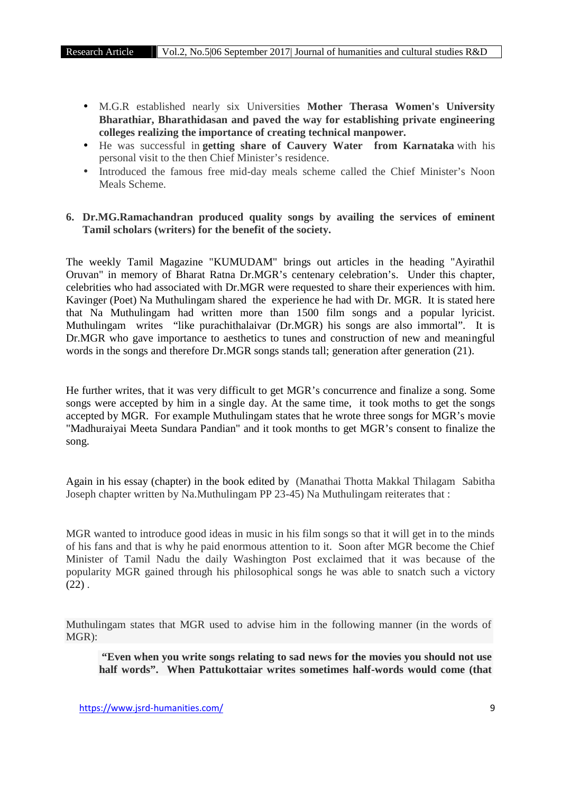- M.G.R established nearly six Universities **Mother Therasa Women's University Bharathiar, Bharathidasan and paved the way for establishing private engineering colleges realizing the importance of creating technical manpower.**
- He was successful in **getting share of Cauvery Water from Karnataka** with his personal visit to the then Chief Minister's residence.
- Introduced the famous free mid-day meals scheme called the Chief Minister's Noon Meals Scheme.

### **6. Dr.MG.Ramachandran produced quality songs by availing the services of eminent Tamil scholars (writers) for the benefit of the society.**

The weekly Tamil Magazine "KUMUDAM" brings out articles in the heading "Ayirathil Oruvan" in memory of Bharat Ratna Dr.MGR's centenary celebration's. Under this chapter, celebrities who had associated with Dr.MGR were requested to share their experiences with him. Kavinger (Poet) Na Muthulingam shared the experience he had with Dr. MGR. It is stated here that Na Muthulingam had written more than 1500 film songs and a popular lyricist. Muthulingam writes "like purachithalaivar (Dr.MGR) his songs are also immortal". It is Dr.MGR who gave importance to aesthetics to tunes and construction of new and meaningful words in the songs and therefore Dr.MGR songs stands tall; generation after generation (21).

He further writes, that it was very difficult to get MGR's concurrence and finalize a song. Some songs were accepted by him in a single day. At the same time, it took moths to get the songs accepted by MGR. For example Muthulingam states that he wrote three songs for MGR's movie "Madhuraiyai Meeta Sundara Pandian" and it took months to get MGR's consent to finalize the song.

Again in his essay (chapter) in the book edited by (Manathai Thotta Makkal Thilagam Sabitha Joseph chapter written by Na.Muthulingam PP 23-45) Na Muthulingam reiterates that :

MGR wanted to introduce good ideas in music in his film songs so that it will get in to the minds of his fans and that is why he paid enormous attention to it. Soon after MGR become the Chief Minister of Tamil Nadu the daily Washington Post exclaimed that it was because of the popularity MGR gained through his philosophical songs he was able to snatch such a victory  $(22)$ .

Muthulingam states that MGR used to advise him in the following manner (in the words of MGR):

**"Even when you write songs relating to sad news for the movies you should not use half words". When Pattukottaiar writes sometimes half-words would come (that**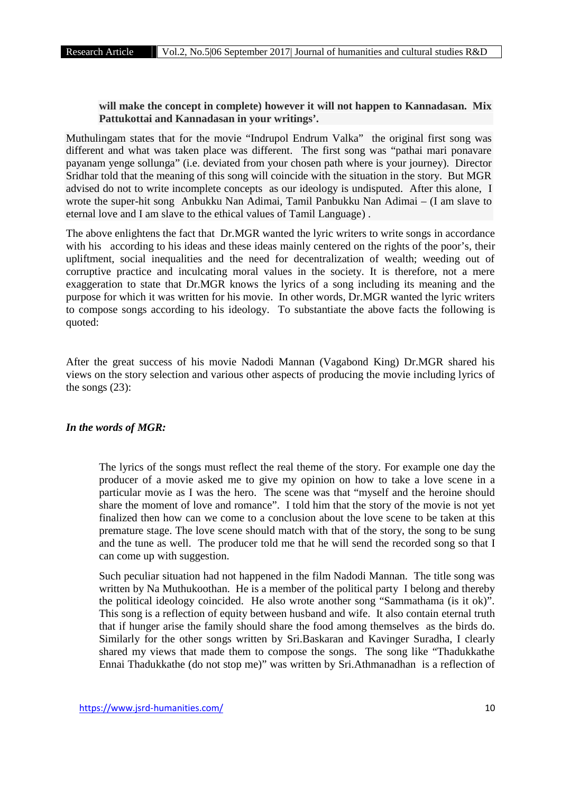### **will make the concept in complete) however it will not happen to Kannadasan. Mix Pattukottai and Kannadasan in your writings'.**

Muthulingam states that for the movie "Indrupol Endrum Valka" the original first song was different and what was taken place was different. The first song was "pathai mari ponavare payanam yenge sollunga" (i.e. deviated from your chosen path where is your journey). Director Sridhar told that the meaning of this song will coincide with the situation in the story. But MGR advised do not to write incomplete concepts as our ideology is undisputed. After this alone, I wrote the super-hit song Anbukku Nan Adimai, Tamil Panbukku Nan Adimai – (I am slave to eternal love and I am slave to the ethical values of Tamil Language) .

The above enlightens the fact that Dr.MGR wanted the lyric writers to write songs in accordance with his according to his ideas and these ideas mainly centered on the rights of the poor's, their upliftment, social inequalities and the need for decentralization of wealth; weeding out of corruptive practice and inculcating moral values in the society. It is therefore, not a mere exaggeration to state that Dr.MGR knows the lyrics of a song including its meaning and the purpose for which it was written for his movie. In other words, Dr.MGR wanted the lyric writers to compose songs according to his ideology. To substantiate the above facts the following is quoted:

After the great success of his movie Nadodi Mannan (Vagabond King) Dr.MGR shared his views on the story selection and various other aspects of producing the movie including lyrics of the songs (23):

### *In the words of MGR:*

The lyrics of the songs must reflect the real theme of the story. For example one day the producer of a movie asked me to give my opinion on how to take a love scene in a particular movie as I was the hero. The scene was that "myself and the heroine should share the moment of love and romance". I told him that the story of the movie is not yet finalized then how can we come to a conclusion about the love scene to be taken at this premature stage. The love scene should match with that of the story, the song to be sung and the tune as well. The producer told me that he will send the recorded song so that I can come up with suggestion.

Such peculiar situation had not happened in the film Nadodi Mannan. The title song was written by Na Muthukoothan. He is a member of the political party I belong and thereby the political ideology coincided. He also wrote another song "Sammathama (is it ok)". This song is a reflection of equity between husband and wife. It also contain eternal truth that if hunger arise the family should share the food among themselves as the birds do. Similarly for the other songs written by Sri.Baskaran and Kavinger Suradha, I clearly shared my views that made them to compose the songs. The song like "Thadukkathe Ennai Thadukkathe (do not stop me)" was written by Sri.Athmanadhan is a reflection of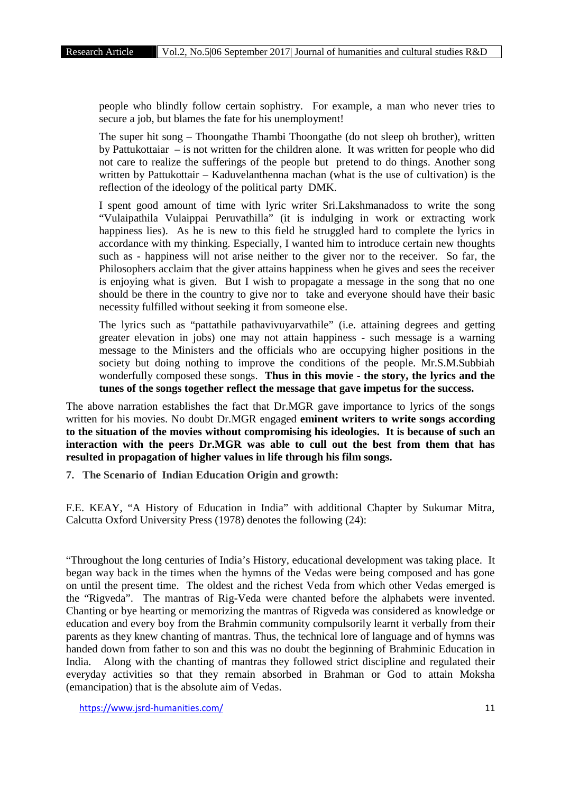people who blindly follow certain sophistry. For example, a man who never tries to secure a job, but blames the fate for his unemployment!

The super hit song – Thoongathe Thambi Thoongathe (do not sleep oh brother), written by Pattukottaiar – is not written for the children alone. It was written for people who did not care to realize the sufferings of the people but pretend to do things. Another song written by Pattukottair – Kaduvelanthenna machan (what is the use of cultivation) is the reflection of the ideology of the political party DMK.

I spent good amount of time with lyric writer Sri.Lakshmanadoss to write the song "Vulaipathila Vulaippai Peruvathilla" (it is indulging in work or extracting work happiness lies). As he is new to this field he struggled hard to complete the lyrics in accordance with my thinking. Especially, I wanted him to introduce certain new thoughts such as - happiness will not arise neither to the giver nor to the receiver. So far, the Philosophers acclaim that the giver attains happiness when he gives and sees the receiver is enjoying what is given. But I wish to propagate a message in the song that no one should be there in the country to give nor to take and everyone should have their basic necessity fulfilled without seeking it from someone else.

The lyrics such as "pattathile pathavivuyarvathile" (i.e. attaining degrees and getting greater elevation in jobs) one may not attain happiness - such message is a warning message to the Ministers and the officials who are occupying higher positions in the society but doing nothing to improve the conditions of the people. Mr.S.M.Subbiah wonderfully composed these songs. **Thus in this movie - the story, the lyrics and the tunes of the songs together reflect the message that gave impetus for the success.**

The above narration establishes the fact that Dr.MGR gave importance to lyrics of the songs written for his movies. No doubt Dr.MGR engaged **eminent writers to write songs according to the situation of the movies without compromising his ideologies. It is because of such an interaction with the peers Dr.MGR was able to cull out the best from them that has resulted in propagation of higher values in life through his film songs.**

**7. The Scenario of Indian Education Origin and growth:**

F.E. KEAY, "A History of Education in India" with additional Chapter by Sukumar Mitra, Calcutta Oxford University Press (1978) denotes the following (24):

"Throughout the long centuries of India's History, educational development was taking place. It began way back in the times when the hymns of the Vedas were being composed and has gone on until the present time. The oldest and the richest Veda from which other Vedas emerged is the "Rigveda". The mantras of Rig-Veda were chanted before the alphabets were invented. Chanting or bye hearting or memorizing the mantras of Rigveda was considered as knowledge or education and every boy from the Brahmin community compulsorily learnt it verbally from their parents as they knew chanting of mantras. Thus, the technical lore of language and of hymns was handed down from father to son and this was no doubt the beginning of Brahminic Education in India. Along with the chanting of mantras they followed strict discipline and regulated their everyday activities so that they remain absorbed in Brahman or God to attain Moksha (emancipation) that is the absolute aim of Vedas.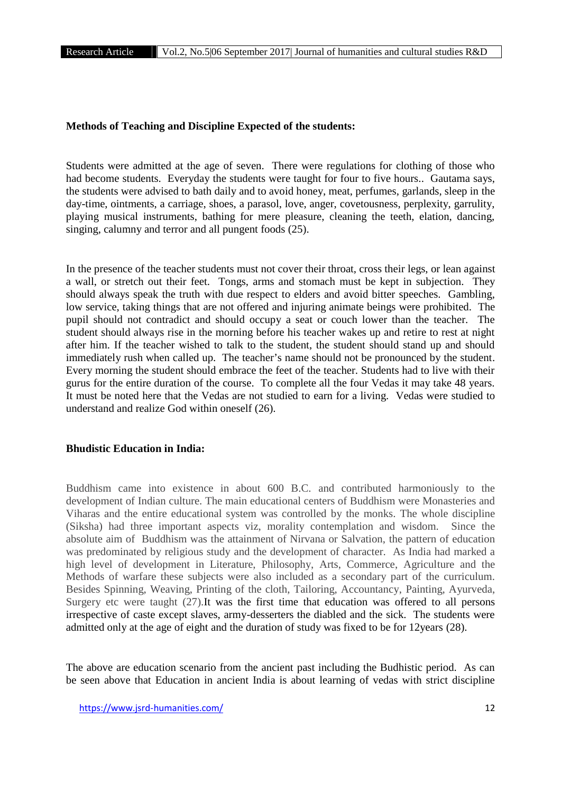#### **Methods of Teaching and Discipline Expected of the students:**

Students were admitted at the age of seven. There were regulations for clothing of those who had become students. Everyday the students were taught for four to five hours.. Gautama says, the students were advised to bath daily and to avoid honey, meat, perfumes, garlands, sleep in the day-time, ointments, a carriage, shoes, a parasol, love, anger, covetousness, perplexity, garrulity, playing musical instruments, bathing for mere pleasure, cleaning the teeth, elation, dancing, singing, calumny and terror and all pungent foods (25).

In the presence of the teacher students must not cover their throat, cross their legs, or lean against a wall, or stretch out their feet. Tongs, arms and stomach must be kept in subjection. They should always speak the truth with due respect to elders and avoid bitter speeches. Gambling, low service, taking things that are not offered and injuring animate beings were prohibited. The pupil should not contradict and should occupy a seat or couch lower than the teacher. The student should always rise in the morning before his teacher wakes up and retire to rest at night after him. If the teacher wished to talk to the student, the student should stand up and should immediately rush when called up. The teacher's name should not be pronounced by the student. Every morning the student should embrace the feet of the teacher. Students had to live with their gurus for the entire duration of the course. To complete all the four Vedas it may take 48 years. It must be noted here that the Vedas are not studied to earn for a living. Vedas were studied to understand and realize God within oneself (26).

### **Bhudistic Education in India:**

Buddhism came into existence in about 600 B.C. and contributed harmoniously to the development of Indian culture. The main educational centers of Buddhism were Monasteries and Viharas and the entire educational system was controlled by the monks. The whole discipline (Siksha) had three important aspects viz, morality contemplation and wisdom. Since the absolute aim of Buddhism was the attainment of Nirvana or Salvation, the pattern of education was predominated by religious study and the development of character. As India had marked a high level of development in Literature, Philosophy, Arts, Commerce, Agriculture and the Methods of warfare these subjects were also included as a secondary part of the curriculum. Besides Spinning, Weaving, Printing of the cloth, Tailoring, Accountancy, Painting, Ayurveda, Surgery etc were taught (27).It was the first time that education was offered to all persons irrespective of caste except slaves, army-desserters the diabled and the sick. The students were admitted only at the age of eight and the duration of study was fixed to be for 12years (28).

The above are education scenario from the ancient past including the Budhistic period. As can be seen above that Education in ancient India is about learning of vedas with strict discipline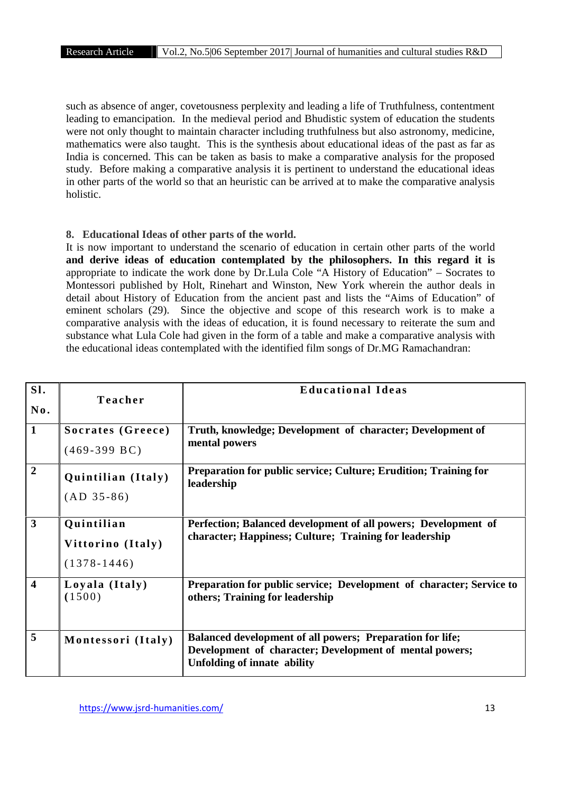such as absence of anger, covetousness perplexity and leading a life of Truthfulness, contentment leading to emancipation. In the medieval period and Bhudistic system of education the students were not only thought to maintain character including truthfulness but also astronomy, medicine, mathematics were also taught. This is the synthesis about educational ideas of the past as far as India is concerned. This can be taken as basis to make a comparative analysis for the proposed study. Before making a comparative analysis it is pertinent to understand the educational ideas in other parts of the world so that an heuristic can be arrived at to make the comparative analysis holistic.

### **8. Educational Ideas of other parts of the world.**

It is now important to understand the scenario of education in certain other parts of the world **and derive ideas of education contemplated by the philosophers. In this regard it is** appropriate to indicate the work done by Dr.Lula Cole "A History of Education" – Socrates to Montessori published by Holt, Rinehart and Winston, New York wherein the author deals in detail about History of Education from the ancient past and lists the "Aims of Education" of eminent scholars (29). Since the objective and scope of this research work is to make a comparative analysis with the ideas of education, it is found necessary to reiterate the sum and substance what Lula Cole had given in the form of a table and make a comparative analysis with the educational ideas contemplated with the identified film songs of Dr.MG Ramachandran:

|                         | comparative analysis with the ideas of education, it is found necessary to reiterate the sum and<br>substance what Lula Cole had given in the form of a table and make a comparative analysis with<br>the educational ideas contemplated with the identified film songs of Dr.MG Ramachandran: |                                                                                                                                                            |  |
|-------------------------|------------------------------------------------------------------------------------------------------------------------------------------------------------------------------------------------------------------------------------------------------------------------------------------------|------------------------------------------------------------------------------------------------------------------------------------------------------------|--|
| SI.<br>No.              | Teacher                                                                                                                                                                                                                                                                                        | <b>Educational Ideas</b>                                                                                                                                   |  |
| $\mathbf{1}$            | Socrates (Greece)<br>$(469-399 \text{ BC})$                                                                                                                                                                                                                                                    | Truth, knowledge; Development of character; Development of<br>mental powers                                                                                |  |
| $\overline{2}$          | Quintilian (Italy)<br>$(AD 35-86)$                                                                                                                                                                                                                                                             | Preparation for public service; Culture; Erudition; Training for<br>leadership                                                                             |  |
| $\overline{\mathbf{3}}$ | Quintilian<br>Vittorino (Italy)<br>$(1378 - 1446)$                                                                                                                                                                                                                                             | Perfection; Balanced development of all powers; Development of<br>character; Happiness; Culture; Training for leadership                                   |  |
| $\overline{\mathbf{4}}$ | Loyala (Italy)<br>(1500)                                                                                                                                                                                                                                                                       | Preparation for public service; Development of character; Service to<br>others; Training for leadership                                                    |  |
| 5                       | Montessori (Italy)                                                                                                                                                                                                                                                                             | Balanced development of all powers; Preparation for life;<br>Development of character; Development of mental powers;<br><b>Unfolding of innate ability</b> |  |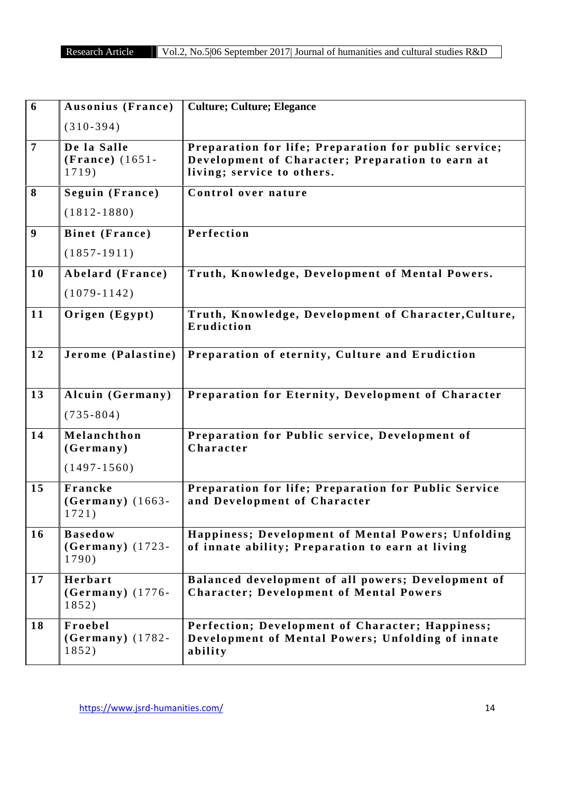|                | <b>Research Article</b>                       | Vol.2, No.5 06 September 2017 Journal of humanities and cultural studies R&D                                                            |
|----------------|-----------------------------------------------|-----------------------------------------------------------------------------------------------------------------------------------------|
|                |                                               |                                                                                                                                         |
|                |                                               |                                                                                                                                         |
| 6              | <b>Ausonius</b> (France)                      | <b>Culture; Culture; Elegance</b>                                                                                                       |
|                | $(310-394)$                                   |                                                                                                                                         |
| $\overline{7}$ | De la Salle<br>(France) (1651-<br>1719)       | Preparation for life; Preparation for public service;<br>Development of Character; Preparation to earn at<br>living; service to others. |
| 8              | Seguin (France)                               | Control over nature                                                                                                                     |
|                | $(1812 - 1880)$                               |                                                                                                                                         |
| 9              | <b>Binet</b> (France)                         | Perfection                                                                                                                              |
|                | $(1857-1911)$                                 |                                                                                                                                         |
| 10             | Abelard (France)                              | Truth, Knowledge, Development of Mental Powers.                                                                                         |
|                | $(1079 - 1142)$                               |                                                                                                                                         |
| 11             | Origen (Egypt)                                | Truth, Knowledge, Development of Character, Culture,<br>Erudiction                                                                      |
| 12             | Jerome (Palastine)                            | Preparation of eternity, Culture and Erudiction                                                                                         |
| 13             | Alcuin (Germany)                              | Preparation for Eternity, Development of Character                                                                                      |
|                | $(735 - 804)$                                 |                                                                                                                                         |
| 14             | Melanchthon<br>(Germany)                      | Preparation for Public service, Development of<br>Character                                                                             |
|                | $(1497 - 1560)$                               |                                                                                                                                         |
| 15             | Francke<br>$(Germany)$ (1663-<br>1721)        | Preparation for life; Preparation for Public Service<br>and Development of Character                                                    |
| 16             | <b>Basedow</b><br>$(Germany)$ (1723-<br>1790) | Happiness; Development of Mental Powers; Unfolding<br>of innate ability; Preparation to earn at living                                  |
| 17             | Herbart<br>(Germany) (1776-<br>1852)          | Balanced development of all powers; Development of<br><b>Character; Development of Mental Powers</b>                                    |
| 18             | Froebel<br>(Germany) (1782-<br>1852)          | Perfection; Development of Character; Happiness;<br>Development of Mental Powers; Unfolding of innate<br>ability                        |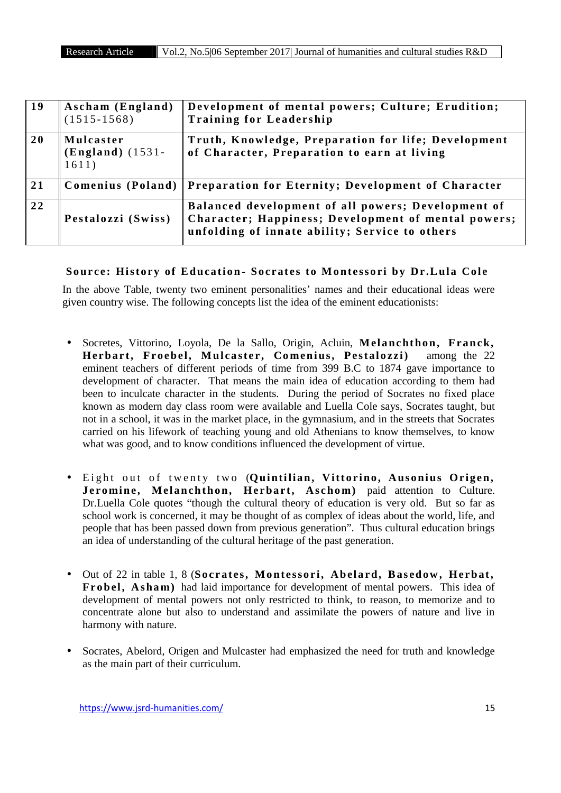|           | <b>Research Article</b>     | Vol.2, No.5 06 September 2017 Journal of humanities and cultural studies R&D                          |
|-----------|-----------------------------|-------------------------------------------------------------------------------------------------------|
|           |                             |                                                                                                       |
|           |                             |                                                                                                       |
| <b>19</b> | Ascham (England)            | Development of mental powers; Culture; Erudition;                                                     |
|           | $(1515 - 1568)$             | <b>Training for Leadership</b>                                                                        |
| 20        | Mulcaster                   | Truth, Knowledge, Preparation for life; Development                                                   |
|           | $(England)$ (1531-<br>1611) | of Character, Preparation to earn at living                                                           |
| 21        | Comenius (Poland)           | Preparation for Eternity; Development of Character                                                    |
| 22        |                             | Balanced development of all powers; Development of                                                    |
|           | Pestalozzi (Swiss)          | Character; Happiness; Development of mental powers;<br>unfolding of innate ability; Service to others |

### **Source: History of Education- Socrates to Montessori by Dr.Lula Cole**

In the above Table, twenty two eminent personalities' names and their educational ideas were given country wise. The following concepts list the idea of the eminent educationists:

- Source: History of Education-Socrates to Montessori by Di.Edia Core<br>in the above Table, twenty two eminent personalities' names and their educational ideas were<br>given country wise. The following concepts list the idea of t he resolutional ideas were in country wise. The following concepts list the idea of the eminent educationists:<br> **Herbart**, Vittorino, Loyola, De la Sallo, Origin, Acluin, Melanchthon, Franck,<br> **Herbart**, Froebel, Mulcaster development of character. That means the main idea of education according to them had been to inculcate character in the students. During the period of Socrates no fixed place known as modern day class room were available and Luella Cole says, Socrates taught, but not in a school, it was in the market place, in the gymnasium, and in the streets that Socrates carried on his lifework of teaching young and old Athenians to know themselves, to know what was good, and to know conditions influenced the development of virtue.
- **Eight out of twenty two (Quintilian, Vittorino, Ausonius Origen,** Jeromine, Melanchthon, Herbart, Aschom) paid attention to Culture. Dr.Luella Cole quotes "though the cultural theory of education is very old. But so far as school work is concerned, it may be thought of as complex of ideas about the world, life, and an idea of understanding of the cultural heritage of the past generation.
- behicles that has been passed down from previous generation". Thus cultural education brings<br>an idea of understanding of the cultural heritage of the past generation.<br>**F C** and the development of 22 in table 1, 8 (**Socra** Out of 22 in table 1, 8 (**Socrates, Montessori, Abelard, Basedow, Herbat, Frobel, Asham**) had laid importance for development of mental powers. This idea of development of mental powers not only restricted to think, to reason, to memorize and to concentrate alone but also to understand and assimilate the powers of nature and live in harmony with nature.
- Socrates, Abelord, Origen and Mulcaster had emphasized the need for truth and knowledge as the main part of their curriculum.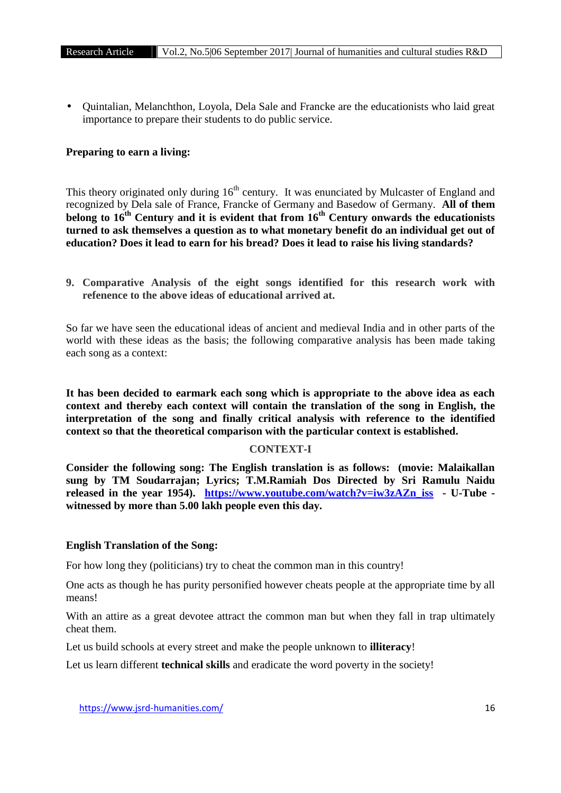Quintalian, Melanchthon, Loyola, Dela Sale and Francke are the educationists who laid great importance to prepare their students to do public service.

### **Preparing to earn a living:**

This theory originated only during  $16<sup>th</sup>$  century. It was enunciated by Mulcaster of England and recognized by Dela sale of France, Francke of Germany and Basedow of Germany. **All of them belong to 16th Century and it is evident that from 16th Century onwards the educationists turned to ask themselves a question as to what monetary benefit do an individual get out of education? Does it lead to earn for his bread? Does it lead to raise his living standards?**

**9. Comparative Analysis of the eight songs identified for this research work with refenence to the above ideas of educational arrived at.**

So far we have seen the educational ideas of ancient and medieval India and in other parts of the world with these ideas as the basis; the following comparative analysis has been made taking each song as a context:

**It has been decided to earmark each song which is appropriate to the above idea as each context and thereby each context will contain the translation of the song in English, the interpretation of the song and finally critical analysis with reference to the identified context so that the theoretical comparison with the particular context is established.**

### **CONTEXT-I**

**Consider the following song: The English translation is as follows: (movie: Malaikallan sung by TM Soudarrajan; Lyrics; T.M.Ramiah Dos Directed by Sri Ramulu Naidu released in the year 1954). https://www.youtube.com/watch?v=iw3zAZn\_iss - U-Tube witnessed by more than 5.00 lakh people even this day.**

#### **English Translation of the Song:**

For how long they (politicians) try to cheat the common man in this country!

One acts as though he has purity personified however cheats people at the appropriate time by all means!

With an attire as a great devotee attract the common man but when they fall in trap ultimately cheat them.

Let us build schools at every street and make the people unknown to **illiteracy**!

Let us learn different **technical skills** and eradicate the word poverty in the society!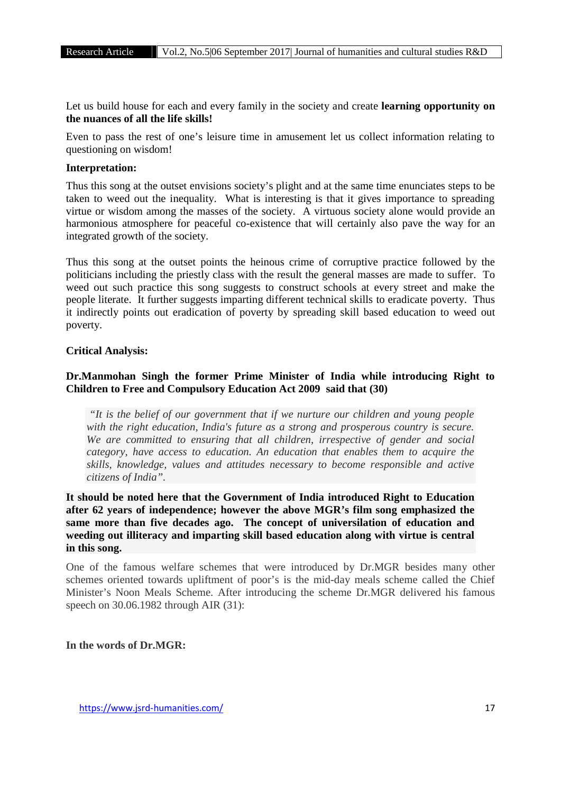Let us build house for each and every family in the society and create **learning opportunity on the nuances of all the life skills!**

Even to pass the rest of one's leisure time in amusement let us collect information relating to questioning on wisdom!

### **Interpretation:**

Thus this song at the outset envisions society's plight and at the same time enunciates steps to be taken to weed out the inequality. What is interesting is that it gives importance to spreading virtue or wisdom among the masses of the society. A virtuous society alone would provide an harmonious atmosphere for peaceful co-existence that will certainly also pave the way for an integrated growth of the society.

Thus this song at the outset points the heinous crime of corruptive practice followed by the politicians including the priestly class with the result the general masses are made to suffer. To weed out such practice this song suggests to construct schools at every street and make the people literate. It further suggests imparting different technical skills to eradicate poverty. Thus it indirectly points out eradication of poverty by spreading skill based education to weed out poverty.

### **Critical Analysis:**

### **Dr.Manmohan Singh the former Prime Minister of India while introducing Right to Children to Free and Compulsory Education Act 2009 said that (30)**

*"It is the belief of our government that if we nurture our children and young people with the right education, India's future as a strong and prosperous country is secure. We are committed to ensuring that all children, irrespective of gender and social category, have access to education. An education that enables them to acquire the skills, knowledge, values and attitudes necessary to become responsible and active citizens of India".*

### **It should be noted here that the Government of India introduced Right to Education after 62 years of independence; however the above MGR's film song emphasized the same more than five decades ago. The concept of universilation of education and weeding out illiteracy and imparting skill based education along with virtue is central in this song.**

One of the famous welfare schemes that were introduced by Dr.MGR besides many other schemes oriented towards upliftment of poor's is the mid-day meals scheme called the Chief Minister's Noon Meals Scheme. After introducing the scheme Dr.MGR delivered his famous speech on 30.06.1982 through AIR (31):

### **In the words of Dr.MGR:**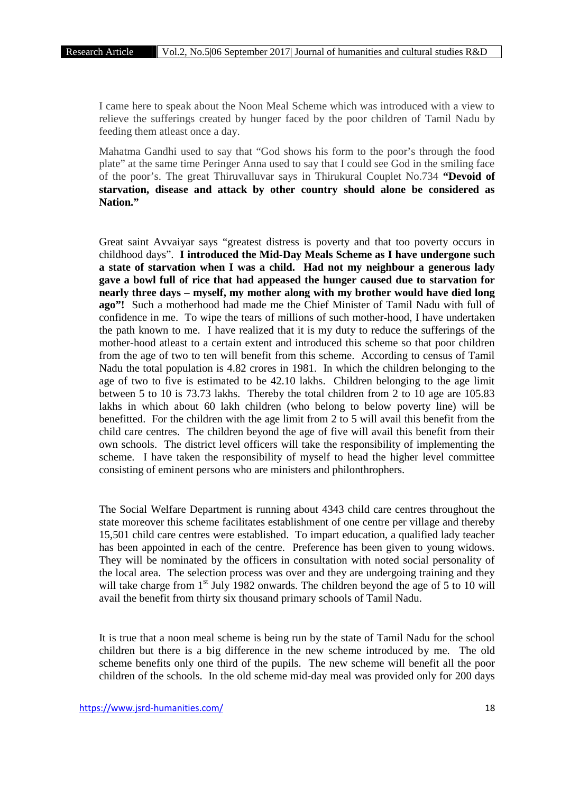I came here to speak about the Noon Meal Scheme which was introduced with a view to relieve the sufferings created by hunger faced by the poor children of Tamil Nadu by feeding them atleast once a day.

Mahatma Gandhi used to say that "God shows his form to the poor's through the food plate" at the same time Peringer Anna used to say that I could see God in the smiling face of the poor's. The great Thiruvalluvar says in Thirukural Couplet No.734 **"Devoid of starvation, disease and attack by other country should alone be considered as Nation."**

Great saint Avvaiyar says "greatest distress is poverty and that too poverty occurs in childhood days". **I introduced the Mid-Day Meals Scheme as I have undergone such a state of starvation when I was a child. Had not my neighbour a generous lady gave a bowl full of rice that had appeased the hunger caused due to starvation for nearly three days – myself, my mother along with my brother would have died long ago"!** Such a motherhood had made me the Chief Minister of Tamil Nadu with full of confidence in me. To wipe the tears of millions of such mother-hood, I have undertaken the path known to me. I have realized that it is my duty to reduce the sufferings of the mother-hood atleast to a certain extent and introduced this scheme so that poor children from the age of two to ten will benefit from this scheme. According to census of Tamil Nadu the total population is 4.82 crores in 1981. In which the children belonging to the age of two to five is estimated to be 42.10 lakhs. Children belonging to the age limit between 5 to 10 is 73.73 lakhs. Thereby the total children from 2 to 10 age are 105.83 lakhs in which about 60 lakh children (who belong to below poverty line) will be benefitted. For the children with the age limit from 2 to 5 will avail this benefit from the child care centres. The children beyond the age of five will avail this benefit from their own schools. The district level officers will take the responsibility of implementing the scheme. I have taken the responsibility of myself to head the higher level committee consisting of eminent persons who are ministers and philonthrophers.

The Social Welfare Department is running about 4343 child care centres throughout the state moreover this scheme facilitates establishment of one centre per village and thereby 15,501 child care centres were established. To impart education, a qualified lady teacher has been appointed in each of the centre. Preference has been given to young widows. They will be nominated by the officers in consultation with noted social personality of the local area. The selection process was over and they are undergoing training and they will take charge from  $1<sup>st</sup>$  July 1982 onwards. The children beyond the age of 5 to 10 will avail the benefit from thirty six thousand primary schools of Tamil Nadu.

It is true that a noon meal scheme is being run by the state of Tamil Nadu for the school children but there is a big difference in the new scheme introduced by me. The old scheme benefits only one third of the pupils. The new scheme will benefit all the poor children of the schools. In the old scheme mid-day meal was provided only for 200 days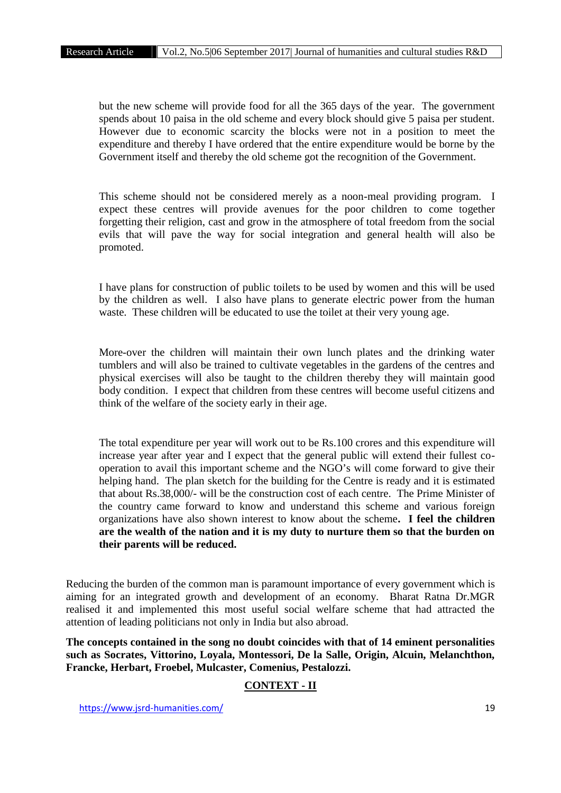but the new scheme will provide food for all the 365 days of the year. The government spends about 10 paisa in the old scheme and every block should give 5 paisa per student. However due to economic scarcity the blocks were not in a position to meet the expenditure and thereby I have ordered that the entire expenditure would be borne by the Government itself and thereby the old scheme got the recognition of the Government.

This scheme should not be considered merely as a noon-meal providing program. I expect these centres will provide avenues for the poor children to come together forgetting their religion, cast and grow in the atmosphere of total freedom from the social evils that will pave the way for social integration and general health will also be promoted.

I have plans for construction of public toilets to be used by women and this will be used by the children as well. I also have plans to generate electric power from the human waste. These children will be educated to use the toilet at their very young age.

More-over the children will maintain their own lunch plates and the drinking water tumblers and will also be trained to cultivate vegetables in the gardens of the centres and physical exercises will also be taught to the children thereby they will maintain good body condition. I expect that children from these centres will become useful citizens and think of the welfare of the society early in their age.

The total expenditure per year will work out to be Rs.100 crores and this expenditure will increase year after year and I expect that the general public will extend their fullest co operation to avail this important scheme and the NGO's will come forward to give their helping hand. The plan sketch for the building for the Centre is ready and it is estimated that about Rs.38,000/- will be the construction cost of each centre. The Prime Minister of the country came forward to know and understand this scheme and various foreign organizations have also shown interest to know about the scheme**. I feel the children are the wealth of the nation and it is my duty to nurture them so that the burden on their parents will be reduced.**

Reducing the burden of the common man is paramount importance of every government which is aiming for an integrated growth and development of an economy. Bharat Ratna Dr.MGR realised it and implemented this most useful social welfare scheme that had attracted the attention of leading politicians not only in India but also abroad.

**The concepts contained in the song no doubt coincides with that of 14 eminent personalities such as Socrates, Vittorino, Loyala, Montessori, De la Salle, Origin, Alcuin, Melanchthon, Francke, Herbart, Froebel, Mulcaster, Comenius, Pestalozzi.**

### **CONTEXT - II**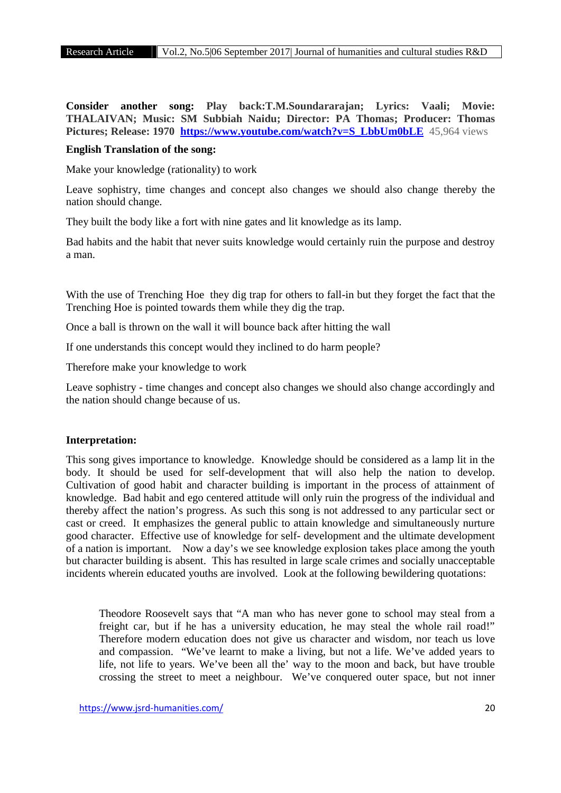**Consider another song: Play back:T.M.Soundararajan; Lyrics: Vaali; Movie: THALAIVAN; Music: SM Subbiah Naidu; Director: PA Thomas; Producer: Thomas Pictures; Release: 1970 https://www.youtube.com/watch?v=S\_LbbUm0bLE** 45,964 views

### **English Translation of the song:**

Make your knowledge (rationality) to work

Leave sophistry, time changes and concept also changes we should also change thereby the nation should change.

They built the body like a fort with nine gates and lit knowledge as its lamp.

Bad habits and the habit that never suits knowledge would certainly ruin the purpose and destroy a man.

With the use of Trenching Hoe they dig trap for others to fall-in but they forget the fact that the Trenching Hoe is pointed towards them while they dig the trap.

Once a ball is thrown on the wall it will bounce back after hitting the wall

If one understands this concept would they inclined to do harm people?

Therefore make your knowledge to work

Leave sophistry - time changes and concept also changes we should also change accordingly and the nation should change because of us.

### **Interpretation:**

This song gives importance to knowledge. Knowledge should be considered as a lamp lit in the body. It should be used for self-development that will also help the nation to develop. Cultivation of good habit and character building is important in the process of attainment of knowledge. Bad habit and ego centered attitude will only ruin the progress of the individual and thereby affect the nation's progress. As such this song is not addressed to any particular sect or cast or creed. It emphasizes the general public to attain knowledge and simultaneously nurture good character. Effective use of knowledge for self- development and the ultimate development of a nation is important. Now a day's we see knowledge explosion takes place among the youth but character building is absent. This has resulted in large scale crimes and socially unacceptable incidents wherein educated youths are involved. Look at the following bewildering quotations:

Theodore Roosevelt says that "A man who has never gone to school may steal from a freight car, but if he has a university education, he may steal the whole rail road!" Therefore modern education does not give us character and wisdom, nor teach us love and compassion. "We've learnt to make a living, but not a life. We've added years to life, not life to years. We've been all the' way to the moon and back, but have trouble crossing the street to meet a neighbour. We've conquered outer space, but not inner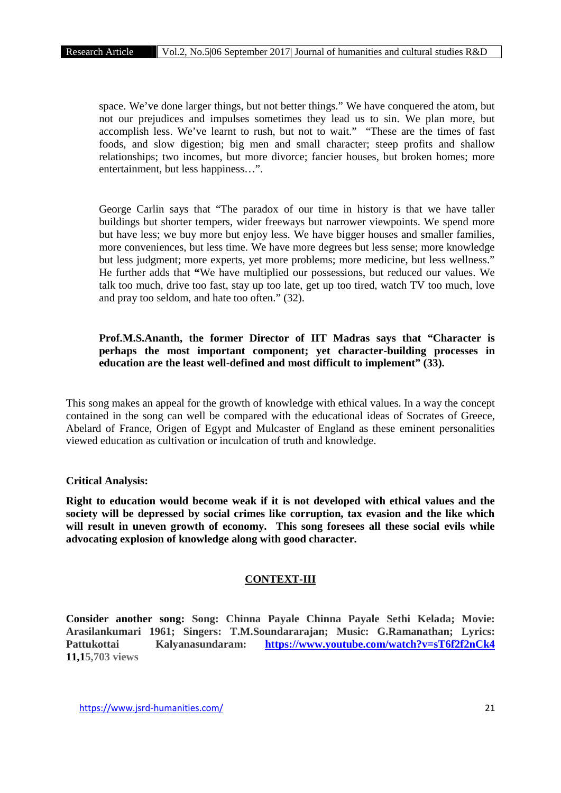space. We've done larger things, but not better things." We have conquered the atom, but not our prejudices and impulses sometimes they lead us to sin. We plan more, but accomplish less. We've learnt to rush, but not to wait." "These are the times of fast foods, and slow digestion; big men and small character; steep profits and shallow relationships; two incomes, but more divorce; fancier houses, but broken homes; more entertainment, but less happiness…".

George Carlin says that "The paradox of our time in history is that we have taller buildings but shorter tempers, wider freeways but narrower viewpoints. We spend more but have less; we buy more but enjoy less. We have bigger houses and smaller families, more conveniences, but less time. We have more degrees but less sense; more knowledge but less judgment; more experts, yet more problems; more medicine, but less wellness." He further adds that **"**We have multiplied our possessions, but reduced our values. We talk too much, drive too fast, stay up too late, get up too tired, watch TV too much, love and pray too seldom, and hate too often." (32).

### **Prof.M.S.Ananth, the former Director of IIT Madras says that "Character is perhaps the most important component; yet character-building processes in education are the least well-defined and most difficult to implement" (33).**

This song makes an appeal for the growth of knowledge with ethical values. In a way the concept contained in the song can well be compared with the educational ideas of Socrates of Greece, Abelard of France, Origen of Egypt and Mulcaster of England as these eminent personalities viewed education as cultivation or inculcation of truth and knowledge.

### **Critical Analysis:**

**Right to education would become weak if it is not developed with ethical values and the society will be depressed by social crimes like corruption, tax evasion and the like which will result in uneven growth of economy. This song foresees all these social evils while advocating explosion of knowledge along with good character.**

### **CONTEXT-III**

**Consider another song: Song: Chinna Payale Chinna Payale Sethi Kelada; Movie: Arasilankumari 1961; Singers: T.M.Soundararajan; Music: G.Ramanathan; Lyrics: Pattukottai Kalyanasundaram: https://www.youtube.com/watch?v=sT6f2f2nCk4 11,15,703 views**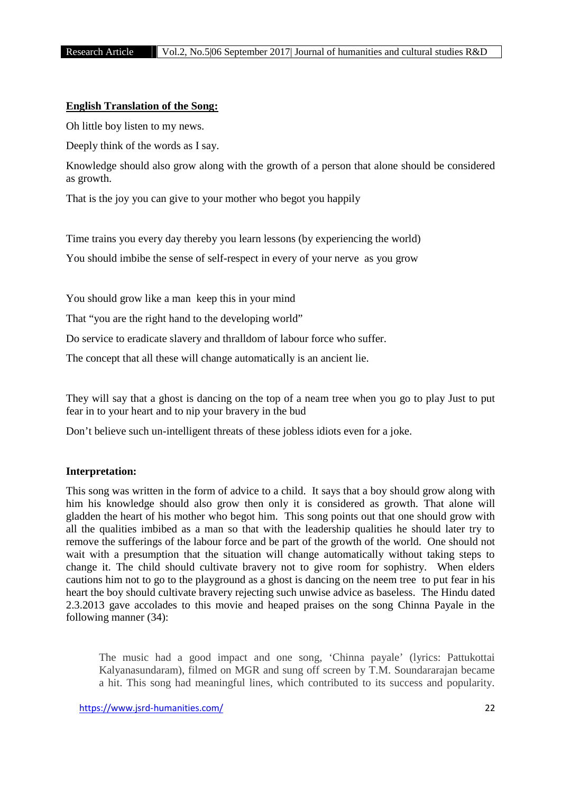### **English Translation of the Song:**

Oh little boy listen to my news.

Deeply think of the words as I say.

Knowledge should also grow along with the growth of a person that alone should be considered as growth.

That is the joy you can give to your mother who begot you happily

Time trains you every day thereby you learn lessons (by experiencing the world)

You should imbibe the sense of self-respect in every of your nerve as you grow

You should grow like a man keep this in your mind

That "you are the right hand to the developing world"

Do service to eradicate slavery and thralldom of labour force who suffer.

The concept that all these will change automatically is an ancient lie.

They will say that a ghost is dancing on the top of a neam tree when you go to play Just to put fear in to your heart and to nip your bravery in the bud

Don't believe such un-intelligent threats of these jobless idiots even for a joke.

### **Interpretation:**

This song was written in the form of advice to a child. It says that a boy should grow along with him his knowledge should also grow then only it is considered as growth. That alone will gladden the heart of his mother who begot him. This song points out that one should grow with all the qualities imbibed as a man so that with the leadership qualities he should later try to remove the sufferings of the labour force and be part of the growth of the world. One should not wait with a presumption that the situation will change automatically without taking steps to change it. The child should cultivate bravery not to give room for sophistry. When elders cautions him not to go to the playground as a ghost is dancing on the neem tree to put fear in his heart the boy should cultivate bravery rejecting such unwise advice as baseless. The Hindu dated 2.3.2013 gave accolades to this movie and heaped praises on the song Chinna Payale in the following manner (34):

The music had a good impact and one song, 'Chinna payale' (lyrics: Pattukottai Kalyanasundaram), filmed on MGR and sung off screen by T.M. Soundararajan became a hit. This song had meaningful lines, which contributed to its success and popularity.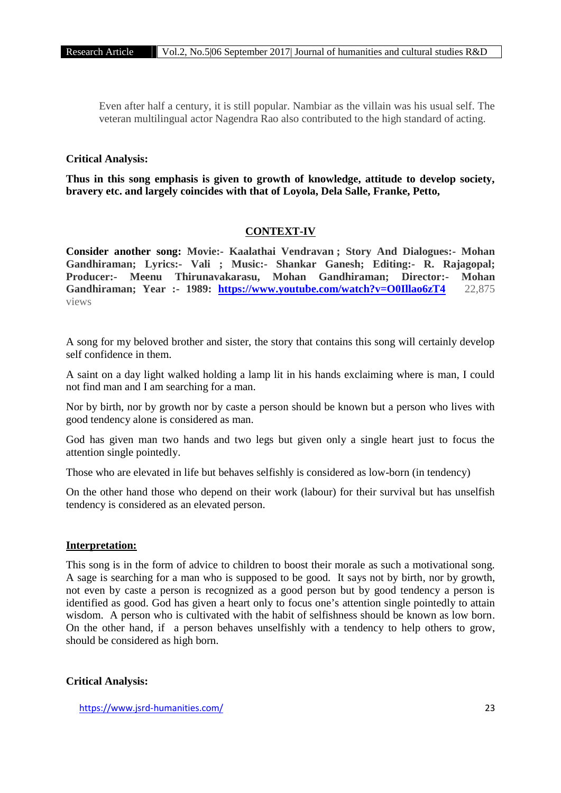Even after half a century, it is still popular. Nambiar as the villain was his usual self. The veteran multilingual actor Nagendra Rao also contributed to the high standard of acting.

### **Critical Analysis:**

**Thus in this song emphasis is given to growth of knowledge, attitude to develop society, bravery etc. and largely coincides with that of Loyola, Dela Salle, Franke, Petto,**

### **CONTEXT-IV**

**Consider another song: Movie:- Kaalathai Vendravan ; Story And Dialogues:- Mohan Gandhiraman; Lyrics:- Vali ; Music:- Shankar Ganesh; Editing:- R. Rajagopal; Producer:- Meenu Thirunavakarasu, Mohan Gandhiraman; Director:- Mohan Gandhiraman; Year :- 1989: https://www.youtube.com/watch?v=O0Illao6zT4** 22,875 views

A song for my beloved brother and sister, the story that contains this song will certainly develop self confidence in them.

A saint on a day light walked holding a lamp lit in his hands exclaiming where is man, I could not find man and I am searching for a man.

Nor by birth, nor by growth nor by caste a person should be known but a person who lives with good tendency alone is considered as man.

God has given man two hands and two legs but given only a single heart just to focus the attention single pointedly.

Those who are elevated in life but behaves selfishly is considered as low-born (in tendency)

On the other hand those who depend on their work (labour) for their survival but has unselfish tendency is considered as an elevated person.

### **Interpretation:**

This song is in the form of advice to children to boost their morale as such a motivational song. A sage is searching for a man who is supposed to be good. It says not by birth, nor by growth, not even by caste a person is recognized as a good person but by good tendency a person is identified as good. God has given a heart only to focus one's attention single pointedly to attain wisdom. A person who is cultivated with the habit of selfishness should be known as low born. On the other hand, if a person behaves unselfishly with a tendency to help others to grow, should be considered as high born.

#### **Critical Analysis:**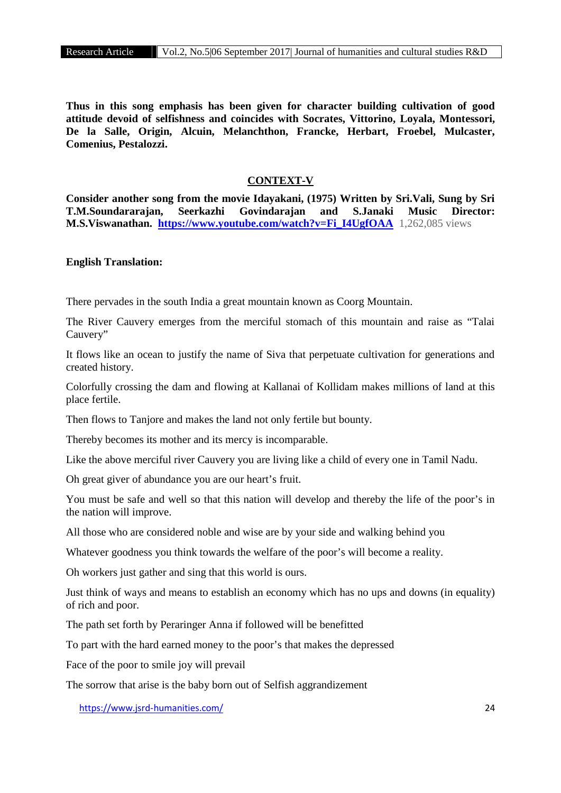**Thus in this song emphasis has been given for character building cultivation of good attitude devoid of selfishness and coincides with Socrates, Vittorino, Loyala, Montessori, De la Salle, Origin, Alcuin, Melanchthon, Francke, Herbart, Froebel, Mulcaster, Comenius, Pestalozzi.**

### **CONTEXT-V**

**Consider another song from the movie Idayakani, (1975) Written by Sri.Vali, Sung by Sri T.M.Soundararajan, Seerkazhi Govindarajan and S.Janaki Music Director: M.S.Viswanathan. https://www.youtube.com/watch?v=Fi\_I4UgfOAA** 1,262,085 views

**English Translation:**

There pervades in the south India a great mountain known as Coorg Mountain.

The River Cauvery emerges from the merciful stomach of this mountain and raise as "Talai Cauvery"

It flows like an ocean to justify the name of Siva that perpetuate cultivation for generations and created history.

Colorfully crossing the dam and flowing at Kallanai of Kollidam makes millions of land at this place fertile.

Then flows to Tanjore and makes the land not only fertile but bounty.

Thereby becomes its mother and its mercy is incomparable.

Like the above merciful river Cauvery you are living like a child of every one in Tamil Nadu.

Oh great giver of abundance you are our heart's fruit.

You must be safe and well so that this nation will develop and thereby the life of the poor's in the nation will improve.

All those who are considered noble and wise are by your side and walking behind you

Whatever goodness you think towards the welfare of the poor's will become a reality.

Oh workers just gather and sing that this world is ours.

Just think of ways and means to establish an economy which has no ups and downs (in equality) of rich and poor.

The path set forth by Peraringer Anna if followed will be benefitted

To part with the hard earned money to the poor's that makes the depressed

Face of the poor to smile joy will prevail

The sorrow that arise is the baby born out of Selfish aggrandizement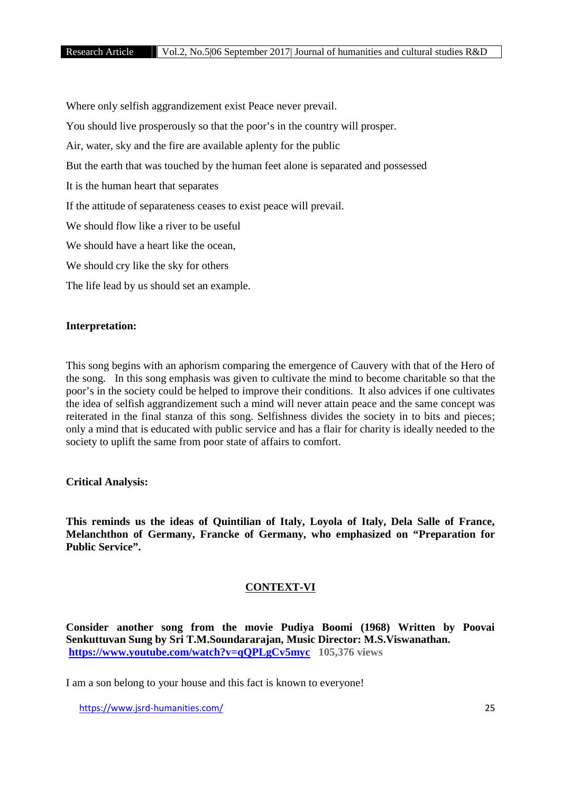Where only selfish aggrandizement exist Peace never prevail.

You should live prosperously so that the poor's in the country will prosper.

Air, water, sky and the fire are available aplenty for the public

But the earth that was touched by the human feet alone is separated and possessed

It is the human heart that separates

If the attitude of separateness ceases to exist peace will prevail.

We should flow like a river to be useful

We should have a heart like the ocean.

We should cry like the sky for others

The life lead by us should set an example.

### **Interpretation:**

This song begins with an aphorism comparing the emergence of Cauvery with that of the Hero of the song. In this song emphasis was given to cultivate the mind to become charitable so that the poor's in the society could be helped to improve their conditions. It also advices if one cultivates the idea of selfish aggrandizement such a mind will never attain peace and the same concept was reiterated in the final stanza of this song. Selfishness divides the society in to bits and pieces; only a mind that is educated with public service and has a flair for charity is ideally needed to the society to uplift the same from poor state of affairs to comfort.

### **Critical Analysis:**

**This reminds us the ideas of Quintilian of Italy, Loyola of Italy, Dela Salle of France, Melanchthon of Germany, Francke of Germany, who emphasized on "Preparation for Public Service".**

### **CONTEXT-VI**

**Consider another song from the movie Pudiya Boomi (1968) Written by Poovai Senkuttuvan Sung by Sri T.M.Soundararajan, Music Director: M.S.Viswanathan. https://www.youtube.com/watch?v=qQPLgCv5myc 105,376 views**

I am a son belong to your house and this fact is known to everyone!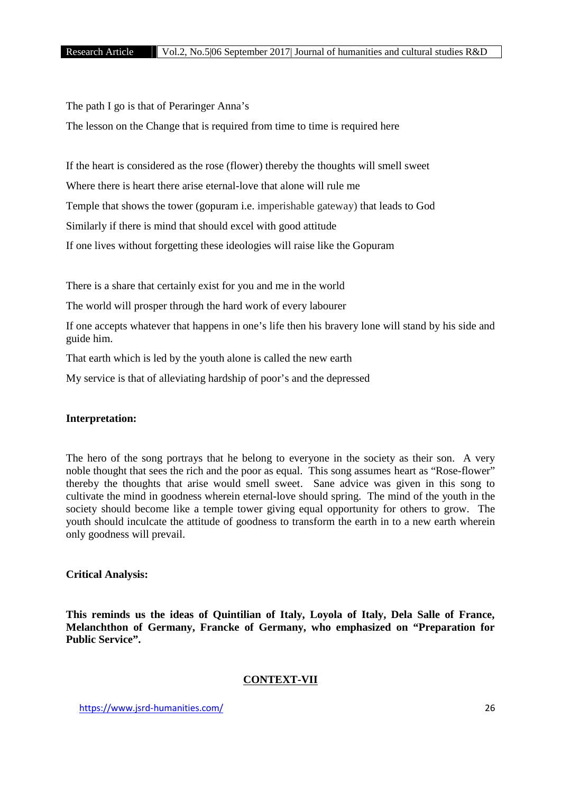The path I go is that of Peraringer Anna's

The lesson on the Change that is required from time to time is required here

If the heart is considered as the rose (flower) thereby the thoughts will smell sweet

Where there is heart there arise eternal-love that alone will rule me

Temple that shows the tower (gopuram i.e. imperishable gateway) that leads to God

Similarly if there is mind that should excel with good attitude

If one lives without forgetting these ideologies will raise like the Gopuram

There is a share that certainly exist for you and me in the world

The world will prosper through the hard work of every labourer

If one accepts whatever that happens in one's life then his bravery lone will stand by his side and guide him.

That earth which is led by the youth alone is called the new earth

My service is that of alleviating hardship of poor's and the depressed

### **Interpretation:**

The hero of the song portrays that he belong to everyone in the society as their son. A very noble thought that sees the rich and the poor as equal. This song assumes heart as "Rose-flower" thereby the thoughts that arise would smell sweet. Sane advice was given in this song to cultivate the mind in goodness wherein eternal-love should spring. The mind of the youth in the society should become like a temple tower giving equal opportunity for others to grow. The youth should inculcate the attitude of goodness to transform the earth in to a new earth wherein only goodness will prevail.

#### **Critical Analysis:**

**This reminds us the ideas of Quintilian of Italy, Loyola of Italy, Dela Salle of France, Melanchthon of Germany, Francke of Germany, who emphasized on "Preparation for Public Service".**

#### **CONTEXT-VII**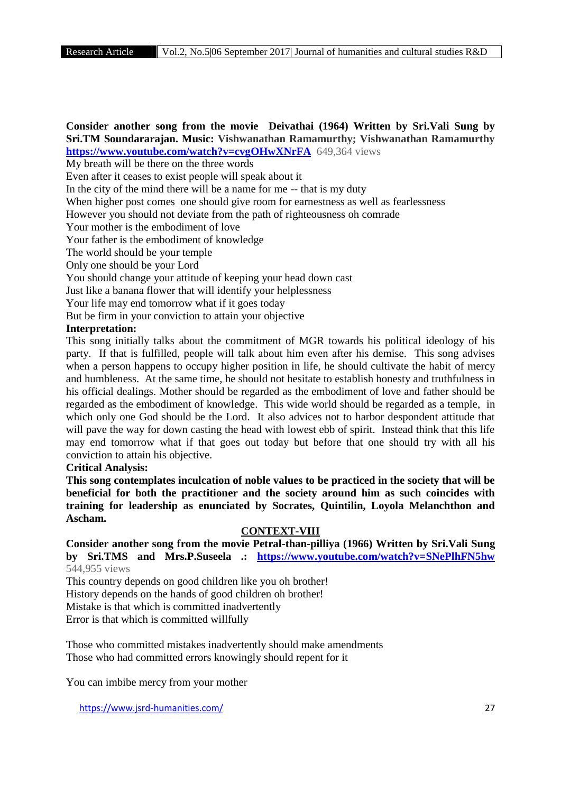### **Consider another song from the movie Deivathai (1964) Written by Sri.Vali Sung by Sri.TM Soundararajan. Music: Vishwanathan Ramamurthy; Vishwanathan Ramamurthy** https://www.youtube.com/watch?v=cvgOHwXNrFA 649,364 views

My breath will be there on the three words

Even after it ceases to exist people will speak about it

In the city of the mind there will be a name for me -- that is my duty

When higher post comes one should give room for earnestness as well as fearlessness

However you should not deviate from the path of righteousness oh comrade

Your mother is the embodiment of love

Your father is the embodiment of knowledge

The world should be your temple

Only one should be your Lord

You should change your attitude of keeping your head down cast

Just like a banana flower that will identify your helplessness

Your life may end tomorrow what if it goes today

But be firm in your conviction to attain your objective

### **Interpretation:**

This song initially talks about the commitment of MGR towards his political ideology of his party. If that is fulfilled, people will talk about him even after his demise. This song advises when a person happens to occupy higher position in life, he should cultivate the habit of mercy and humbleness. At the same time, he should not hesitate to establish honesty and truthfulness in his official dealings. Mother should be regarded as the embodiment of love and father should be regarded as the embodiment of knowledge. This wide world should be regarded as a temple, in which only one God should be the Lord. It also advices not to harbor despondent attitude that will pave the way for down casting the head with lowest ebb of spirit. Instead think that this life may end tomorrow what if that goes out today but before that one should try with all his conviction to attain his objective.

### **Critical Analysis:**

**This song contemplates inculcation of noble values to be practiced in the society that will be beneficial for both the practitioner and the society around him as such coincides with training for leadership as enunciated by Socrates, Quintilin, Loyola Melanchthon and Ascham.**

### **CONTEXT-VIII**

**Consider another song from the movie Petral-than-pilliya (1966) Written by Sri.Vali Sung by Sri.TMS and Mrs.P.Suseela .: https://www.youtube.com/watch?v=SNePlhFN5hw** 544,955 views

This country depends on good children like you oh brother! History depends on the hands of good children oh brother! Mistake is that which is committed inadvertently Error is that which is committed willfully

Those who committed mistakes inadvertently should make amendments Those who had committed errors knowingly should repent for it

You can imbibe mercy from your mother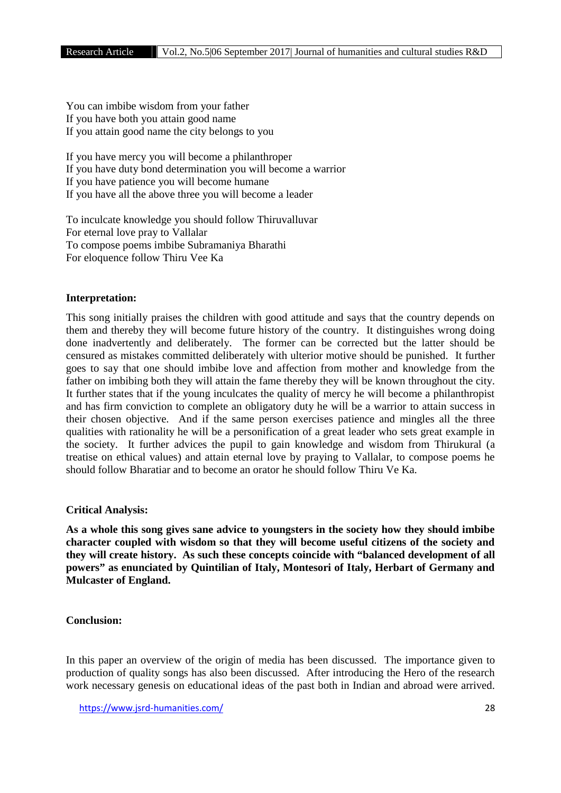You can imbibe wisdom from your father If you have both you attain good name If you attain good name the city belongs to you

If you have mercy you will become a philanthroper If you have duty bond determination you will become a warrior If you have patience you will become humane If you have all the above three you will become a leader

To inculcate knowledge you should follow Thiruvalluvar For eternal love pray to Vallalar To compose poems imbibe Subramaniya Bharathi For eloquence follow Thiru Vee Ka

#### **Interpretation:**

This song initially praises the children with good attitude and says that the country depends on them and thereby they will become future history of the country. It distinguishes wrong doing done inadvertently and deliberately. The former can be corrected but the latter should be censured as mistakes committed deliberately with ulterior motive should be punished. It further goes to say that one should imbibe love and affection from mother and knowledge from the father on imbibing both they will attain the fame thereby they will be known throughout the city. It further states that if the young inculcates the quality of mercy he will become a philanthropist and has firm conviction to complete an obligatory duty he will be a warrior to attain success in their chosen objective. And if the same person exercises patience and mingles all the three qualities with rationality he will be a personification of a great leader who sets great example in the society. It further advices the pupil to gain knowledge and wisdom from Thirukural (a treatise on ethical values) and attain eternal love by praying to Vallalar, to compose poems he should follow Bharatiar and to become an orator he should follow Thiru Ve Ka.

#### **Critical Analysis:**

**As a whole this song gives sane advice to youngsters in the society how they should imbibe character coupled with wisdom so that they will become useful citizens of the society and they will create history. As such these concepts coincide with "balanced development of all powers" as enunciated by Quintilian of Italy, Montesori of Italy, Herbart of Germany and Mulcaster of England.**

#### **Conclusion:**

In this paper an overview of the origin of media has been discussed. The importance given to production of quality songs has also been discussed. After introducing the Hero of the research work necessary genesis on educational ideas of the past both in Indian and abroad were arrived.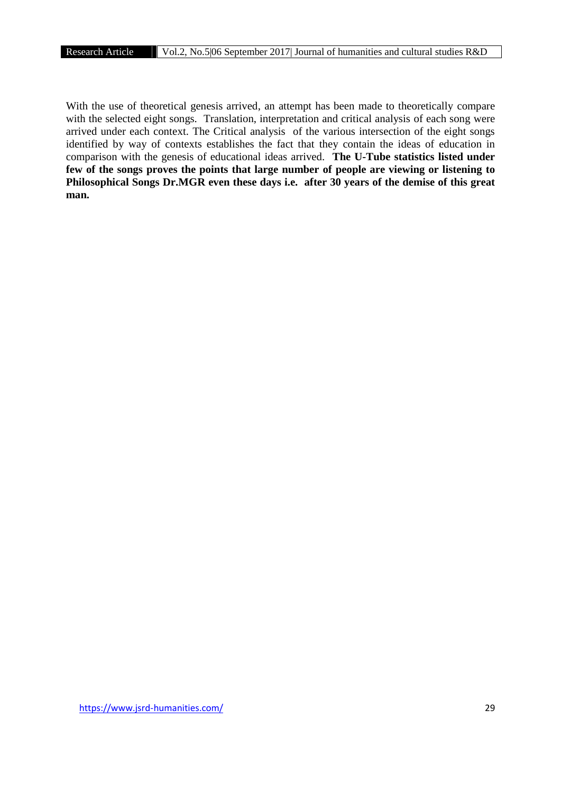With the use of theoretical genesis arrived, an attempt has been made to theoretically compare with the selected eight songs. Translation, interpretation and critical analysis of each song were arrived under each context. The Critical analysis of the various intersection of the eight songs identified by way of contexts establishes the fact that they contain the ideas of education in comparison with the genesis of educational ideas arrived. **The U-Tube statistics listed under few of the songs proves the points that large number of people are viewing or listening to Philosophical Songs Dr.MGR even these days i.e. after 30 years of the demise of this great man.**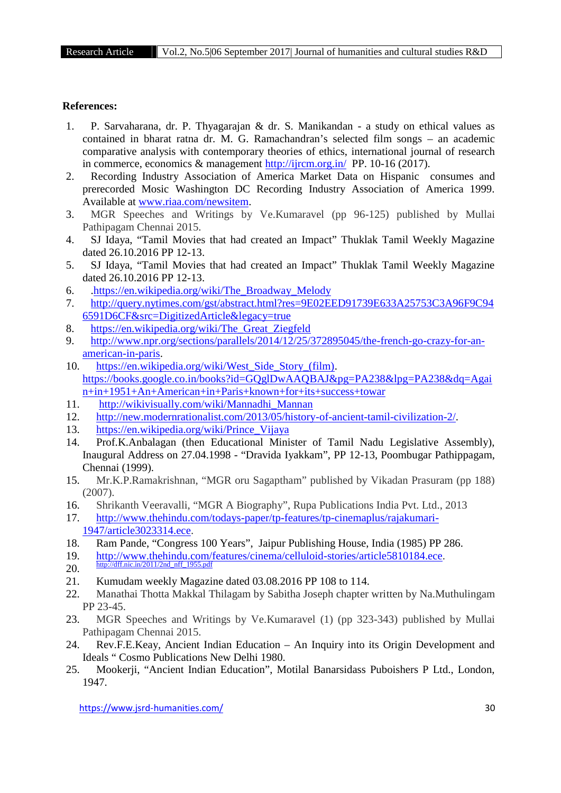#### **References:**

- 1. P. Sarvaharana, dr. P. Thyagarajan & dr. S. Manikandan *-* a study on ethical values as contained in bharat ratna dr. M. G. Ramachandran's selected film songs – an academic comparative analysis with contemporary theories of ethics, international journal of research in commerce, economics & management http://ijrcm.org.in/ PP, 10-16 (2017).
- 2. Recording Industry Association of America Market Data on Hispanic consumes and prerecorded Mosic Washington DC Recording Industry Association of America 1999. Available at www.riaa.com/newsitem.
- 3. MGR Speeches and Writings by Ve.Kumaravel (pp 96-125) published by Mullai Pathipagam Chennai 2015.
- 4. SJ Idaya, "Tamil Movies that had created an Impact" Thuklak Tamil Weekly Magazine dated 26.10.2016 PP 12-13.
- 5. SJ Idaya, "Tamil Movies that had created an Impact" Thuklak Tamil Weekly Magazine dated 26.10.2016 PP 12-13.
- 6. .https://en.wikipedia.org/wiki/The\_Broadway\_Melody
- 7. http://query.nytimes.com/gst/abstract.html?res=9E02EED91739E633A25753C3A96F9C94 6591D6CF&src=DigitizedArticle&legacy=true
- 8. https://en.wikipedia.org/wiki/The Great Ziegfeld
- 9. http://www.npr.org/sections/parallels/2014/12/25/372895045/the-french-go-crazy-for-an american-in-paris.
- 10. https://en.wikipedia.org/wiki/West\_Side\_Story\_(film). https://books.google.co.in/books?id=GQglDwAAQBAJ&pg=PA238&lpg=PA238&dq=Agai n+in+1951+An+American+in+Paris+known+for+its+success+towar
- 11. http://wikivisually.com/wiki/Mannadhi\_Mannan
- 12. http://new.modernrationalist.com/2013/05/history-of-ancient-tamil-civilization-2/.
- 13. https://en.wikipedia.org/wiki/Prince\_Vijaya
- 14. Prof.K.Anbalagan (then Educational Minister of Tamil Nadu Legislative Assembly), Inaugural Address on 27.04.1998 - "Dravida Iyakkam", PP 12-13, Poombugar Pathippagam, Chennai (1999).
- 15. Mr.K.P.Ramakrishnan, "MGR oru Sagaptham" published by Vikadan Prasuram (pp 188) (2007).
- 16. Shrikanth Veeravalli, "MGR A Biography", Rupa Publications India Pvt. Ltd., 2013
- 17. http://www.thehindu.com/todays-paper/tp-features/tp-cinemaplus/rajakumari- 1947/article3023314.ece.
- 18. Ram Pande, "Congress 100 Years", Jaipur Publishing House, India (1985) PP 286.
- 19. http://www.thehindu.com/features/cinema/celluloid-stories/article5810184.ece.
- $20.$  http://dff.nic.in/2011/2nd\_nff\_1955.pdf
- 21. Kumudam weekly Magazine dated 03.08.2016 PP 108 to 114.
- 22. Manathai Thotta Makkal Thilagam by Sabitha Joseph chapter written by Na.Muthulingam PP 23-45.
- 23. MGR Speeches and Writings by Ve.Kumaravel (1) (pp 323-343) published by Mullai Pathipagam Chennai 2015.
- 24. Rev.F.E.Keay, Ancient Indian Education An Inquiry into its Origin Development and Ideals " Cosmo Publications New Delhi 1980.
- 25. Mookerji, "Ancient Indian Education", Motilal Banarsidass Puboishers P Ltd., London, 1947.